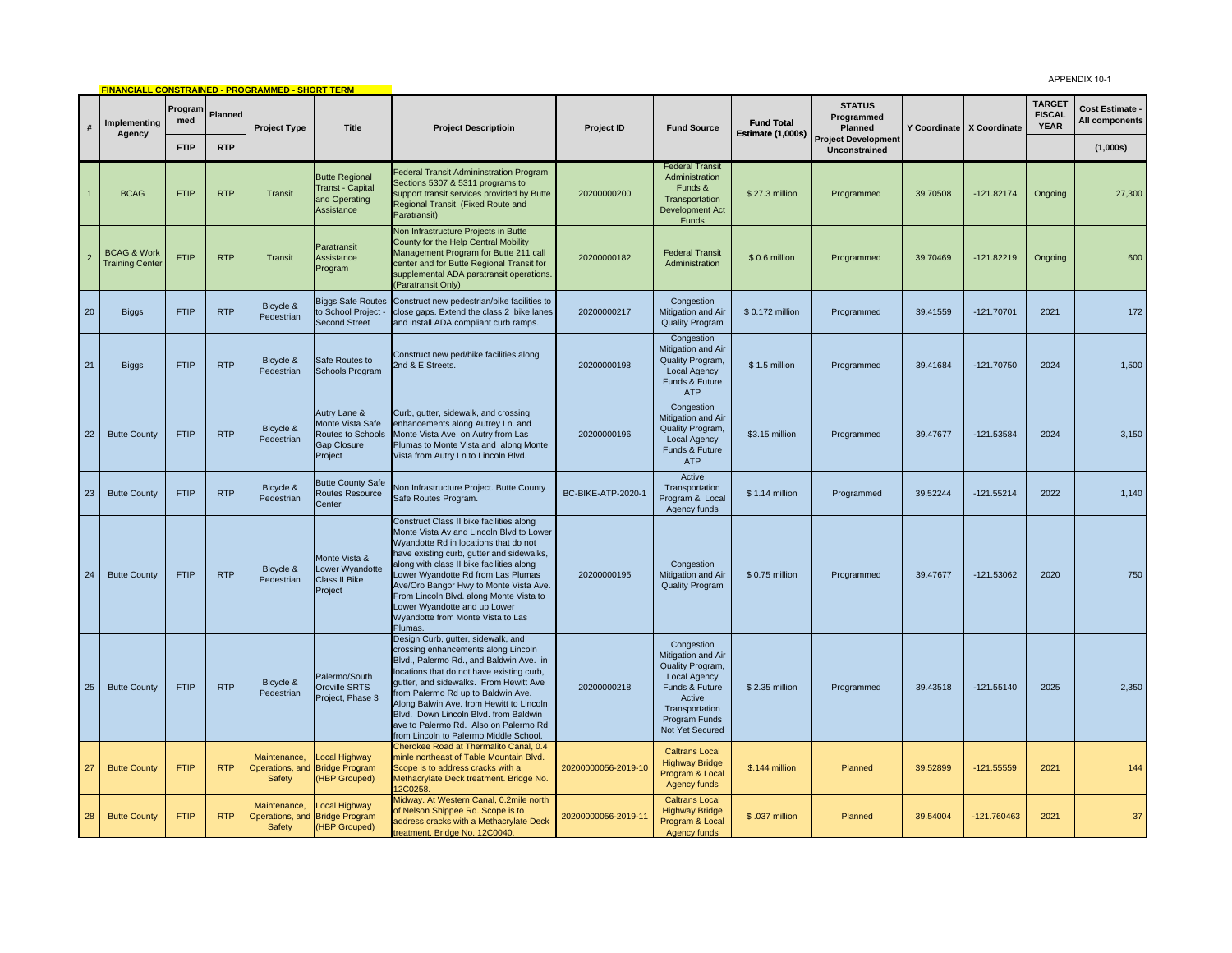APPENDIX 10-1

|                |                                                  |                |            | <b>FINANCIALL CONSTRAINED - PROGRAMMED - SHORT TERM</b> |                                                                                 |                                                                                                                                                                                                                                                                                                                                                                                                                                    |                     |                                                                                                                                                               |                                        |                                             |          |                             |                                               | APPENDIA 10-1                     |
|----------------|--------------------------------------------------|----------------|------------|---------------------------------------------------------|---------------------------------------------------------------------------------|------------------------------------------------------------------------------------------------------------------------------------------------------------------------------------------------------------------------------------------------------------------------------------------------------------------------------------------------------------------------------------------------------------------------------------|---------------------|---------------------------------------------------------------------------------------------------------------------------------------------------------------|----------------------------------------|---------------------------------------------|----------|-----------------------------|-----------------------------------------------|-----------------------------------|
| #              | Implementing                                     | Program<br>med | Planned    | <b>Project Type</b>                                     | <b>Title</b>                                                                    | <b>Project Descriptioin</b>                                                                                                                                                                                                                                                                                                                                                                                                        | Project ID          | <b>Fund Source</b>                                                                                                                                            | <b>Fund Total</b><br>Estimate (1,000s) | <b>STATUS</b><br>Programmed<br>Planned      |          | Y Coordinate   X Coordinate | <b>TARGET</b><br><b>FISCAL</b><br><b>YEAR</b> | Cost Estimate -<br>All components |
|                | Agency                                           | <b>FTIP</b>    | <b>RTP</b> |                                                         |                                                                                 |                                                                                                                                                                                                                                                                                                                                                                                                                                    |                     |                                                                                                                                                               |                                        | <b>Project Development</b><br>Unconstrained |          |                             |                                               | (1,000s)                          |
|                | <b>BCAG</b>                                      | <b>FTIP</b>    | <b>RTP</b> | Transit                                                 | <b>Butte Regional</b><br><b>Transt - Capital</b><br>and Operating<br>Assistance | <b>Federal Transit Admininstration Program</b><br>Sections 5307 & 5311 programs to<br>support transit services provided by Butte<br>Regional Transit. (Fixed Route and<br>Paratransit)                                                                                                                                                                                                                                             | 20200000200         | <b>Federal Transit</b><br>Administration<br>Funds &<br>Transportation<br>Development Act<br>Funds                                                             | \$27.3 million                         | Programmed                                  | 39.70508 | $-121.82174$                | Ongoing                                       | 27,300                            |
| $\overline{2}$ | <b>BCAG &amp; Work</b><br><b>Training Center</b> | <b>FTIP</b>    | <b>RTP</b> | Transit                                                 | Paratransit<br>Assistance<br>Program                                            | Non Infrastructure Projects in Butte<br>County for the Help Central Mobility<br>Management Program for Butte 211 call<br>center and for Butte Regional Transit for<br>supplemental ADA paratransit operations.<br>(Paratransit Only)                                                                                                                                                                                               | 20200000182         | <b>Federal Transit</b><br>Administration                                                                                                                      | \$0.6 million                          | Programmed                                  | 39.70469 | $-121.82219$                | Ongoing                                       | 600                               |
| 20             | <b>Biggs</b>                                     | <b>FTIP</b>    | <b>RTP</b> | Bicycle &<br>Pedestrian                                 | <b>Biggs Safe Routes</b><br>to School Project -<br>Second Street                | Construct new pedestrian/bike facilities to<br>close gaps. Extend the class 2 bike lanes<br>and install ADA compliant curb ramps.                                                                                                                                                                                                                                                                                                  | 20200000217         | Congestion<br>Mitigation and Air<br><b>Quality Program</b>                                                                                                    | \$0.172 million                        | Programmed                                  | 39.41559 | $-121.70701$                | 2021                                          | 172                               |
| 21             | Biggs                                            | <b>FTIP</b>    | <b>RTP</b> | Bicycle &<br>Pedestrian                                 | Safe Routes to<br>Schools Program                                               | Construct new ped/bike facilities along<br>2nd & E Streets.                                                                                                                                                                                                                                                                                                                                                                        | 20200000198         | Congestion<br>Mitigation and Air<br>Quality Program,<br>Local Agency<br>Funds & Future<br><b>ATP</b>                                                          | \$1.5 million                          | Programmed                                  | 39.41684 | $-121.70750$                | 2024                                          | 1,500                             |
| 22             | <b>Butte County</b>                              | <b>FTIP</b>    | <b>RTP</b> | Bicycle &<br>Pedestrian                                 | Autry Lane &<br>Monte Vista Safe<br>Routes to Schools<br>Gap Closure<br>Project | Curb, gutter, sidewalk, and crossing<br>enhancements along Autrey Ln. and<br>Monte Vista Ave. on Autry from Las<br>Plumas to Monte Vista and along Monte<br>Vista from Autry Ln to Lincoln Blvd.                                                                                                                                                                                                                                   | 20200000196         | Congestion<br>Mitigation and Air<br>Quality Program,<br><b>Local Agency</b><br>Funds & Future<br><b>ATP</b>                                                   | \$3.15 million                         | Programmed                                  | 39.47677 | $-121.53584$                | 2024                                          | 3,150                             |
| 23             | <b>Butte County</b>                              | <b>FTIP</b>    | <b>RTP</b> | Bicycle &<br>Pedestrian                                 | <b>Butte County Safe</b><br>Routes Resource<br>Center                           | Ion Infrastructure Project. Butte County<br>Safe Routes Program.                                                                                                                                                                                                                                                                                                                                                                   | BC-BIKE-ATP-2020-1  | Active<br>Transportation<br>Program & Local<br>Agency funds                                                                                                   | $$1.14$ million                        | Programmed                                  | 39.52244 | $-121.55214$                | 2022                                          | 1,140                             |
| 24             | <b>Butte County</b>                              | <b>FTIP</b>    | <b>RTP</b> | Bicycle &<br>Pedestrian                                 | Monte Vista &<br>Lower Wyandotte<br>Class II Bike<br>Project                    | Construct Class II bike facilities along<br>Monte Vista Av and Lincoln Blvd to Lower<br>Wyandotte Rd in locations that do not<br>have existing curb, gutter and sidewalks,<br>along with class II bike facilities along<br>Lower Wyandotte Rd from Las Plumas<br>Ave/Oro Bangor Hwy to Monte Vista Ave.<br>From Lincoln Blvd. along Monte Vista to<br>Lower Wyandotte and up Lower<br>Wyandotte from Monte Vista to Las<br>Plumas. | 20200000195         | Congestion<br>Mitigation and Air<br><b>Quality Program</b>                                                                                                    | \$0.75 million                         | Programmed                                  | 39.47677 | $-121.53062$                | 2020                                          | 750                               |
| 25             | <b>Butte County</b>                              | <b>FTIP</b>    | <b>RTP</b> | Bicycle &<br>Pedestrian                                 | Palermo/South<br>Oroville SRTS<br>Project, Phase 3                              | Design Curb, gutter, sidewalk, and<br>crossing enhancements along Lincoln<br>Blvd., Palermo Rd., and Baldwin Ave. in<br>locations that do not have existing curb,<br>gutter, and sidewalks. From Hewitt Ave<br>from Palermo Rd up to Baldwin Ave.<br>Along Balwin Ave. from Hewitt to Lincoln<br>Blvd. Down Lincoln Blvd. from Baldwin<br>ave to Palermo Rd. Also on Palermo Rd<br>from Lincoln to Palermo Middle School.          | 20200000218         | Congestion<br>Mitigation and Air<br>Quality Program,<br><b>Local Agency</b><br>Funds & Future<br>Active<br>Transportation<br>Program Funds<br>Not Yet Secured | \$2.35 million                         | Programmed                                  | 39.43518 | $-121.55140$                | 2025                                          | 2,350                             |
| 27             | <b>Butte County</b>                              | <b>FTIP</b>    | <b>RTP</b> | Maintenance,<br>Operations, and<br><b>Safety</b>        | Local Highway<br><b>Bridge Program</b><br>(HBP Grouped)                         | Cherokee Road at Thermalito Canal, 0.4<br>minle northeast of Table Mountain Blvd.<br>Scope is to address cracks with a<br>Methacrylate Deck treatment. Bridge No.<br>12C0258                                                                                                                                                                                                                                                       | 20200000056-2019-10 | <b>Caltrans Local</b><br><b>Highway Bridge</b><br>Program & Local<br>Agency funds                                                                             | \$.144 million                         | Planned                                     | 39.52899 | $-121.55559$                | 2021                                          | 144                               |
| 28             | <b>Butte County</b>                              | <b>FTIP</b>    | <b>RTP</b> | Maintenance,<br>Operations, and<br>Safety               | Local Highway<br><b>Bridge Program</b><br>(HBP Grouped)                         | Midway. At Western Canal, 0.2mile north<br>of Nelson Shippee Rd. Scope is to<br>address cracks with a Methacrylate Deck<br>treatment. Bridge No. 12C0040.                                                                                                                                                                                                                                                                          | 20200000056-2019-11 | <b>Caltrans Local</b><br><b>Highway Bridge</b><br>Program & Local<br>Agency funds                                                                             | \$.037 million                         | Planned                                     | 39.54004 | $-121.760463$               | 2021                                          | 37                                |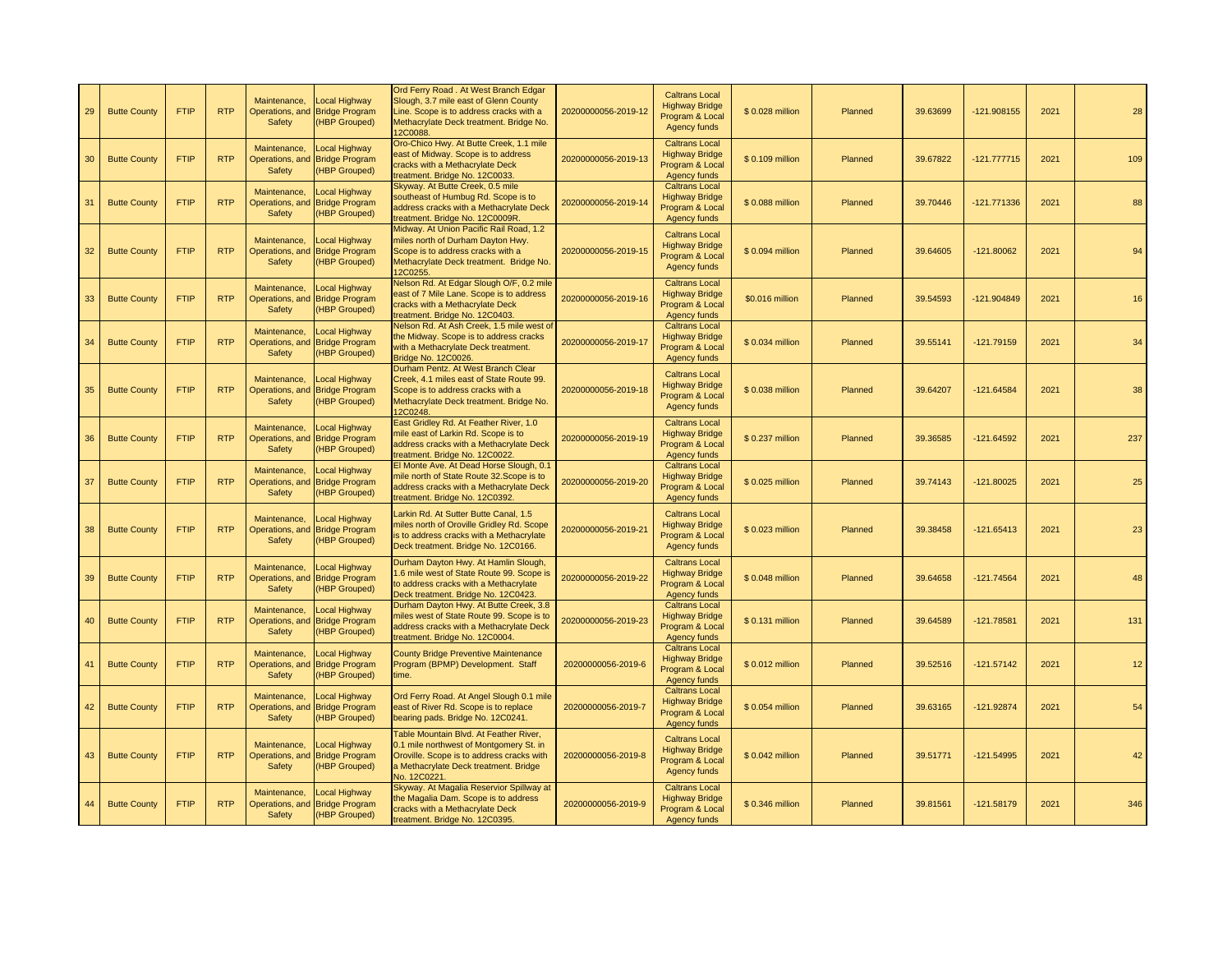| 29 | <b>Butte County</b> | <b>FTIP</b> | <b>RTP</b> | Maintenance,<br>Safety                    | Local Highway<br>Operations, and Bridge Program<br>(HBP Grouped)        | Ord Ferry Road. At West Branch Edgar<br>Slough, 3.7 mile east of Glenn County<br>Line. Scope is to address cracks with a<br>Methacrylate Deck treatment. Bridge No.<br>2C0088                 | 20200000056-2019-12 | <b>Caltrans Local</b><br><b>Highway Bridge</b><br>Program & Local<br>Agency funds        | \$0.028 million  | Planned | 39.63699 | $-121.908155$ | 2021 | 28  |
|----|---------------------|-------------|------------|-------------------------------------------|-------------------------------------------------------------------------|-----------------------------------------------------------------------------------------------------------------------------------------------------------------------------------------------|---------------------|------------------------------------------------------------------------------------------|------------------|---------|----------|---------------|------|-----|
| 30 | <b>Butte County</b> | <b>FTIP</b> | <b>RTP</b> | Maintenance,<br>Operations, and<br>Safety | <b>Local Highway</b><br><b>Bridge Program</b><br>(HBP Grouped)          | Oro-Chico Hwy. At Butte Creek, 1.1 mile<br>east of Midway. Scope is to address<br>cracks with a Methacrylate Deck<br>reatment. Bridge No. 12C0033.                                            | 20200000056-2019-13 | <b>Caltrans Local</b><br><b>Highway Bridge</b><br>Program & Local<br>Agency funds        | \$0.109 million  | Planned | 39.67822 | $-121.777715$ | 2021 | 109 |
| 31 | <b>Butte County</b> | <b>FTIP</b> | <b>RTP</b> | Maintenance,<br>Operations, and<br>Safety | Local Highway<br><b>Bridge Program</b><br>(HBP Grouped)                 | Skyway. At Butte Creek, 0.5 mile<br>southeast of Humbug Rd. Scope is to<br>address cracks with a Methacrylate Deck<br>treatment. Bridge No. 12C0009R.                                         | 20200000056-2019-14 | <b>Caltrans Local</b><br><b>Highway Bridge</b><br>Program & Local<br>Agency funds        | \$0.088 million  | Planned | 39.70446 | -121.771336   | 2021 | 88  |
| 32 | <b>Butte County</b> | <b>FTIP</b> | <b>RTP</b> | Maintenance,<br>Operations, and<br>Safety | Local Highway<br><b>Bridge Program</b><br>(HBP Grouped)                 | Midway. At Union Pacific Rail Road, 1.2<br>miles north of Durham Dayton Hwy.<br>Scope is to address cracks with a<br>Methacrylate Deck treatment. Bridge No.<br>2C0255                        | 20200000056-2019-15 | <b>Caltrans Local</b><br><b>Highway Bridge</b><br>Program & Local<br>Agency funds        | \$0.094 million  | Planned | 39.64605 | $-121.80062$  | 2021 | 94  |
| 33 | <b>Butte County</b> | <b>FTIP</b> | <b>RTP</b> | Maintenance,<br>Operations, and<br>Safety | <b>Local Highway</b><br><b>Bridge Program</b><br>(HBP Grouped)          | Velson Rd. At Edgar Slough O/F, 0.2 mile<br>east of 7 Mile Lane. Scope is to address<br>cracks with a Methacrylate Deck<br>reatment. Bridge No. 12C0403                                       | 20200000056-2019-16 | <b>Caltrans Local</b><br><b>Highway Bridge</b><br>Program & Local<br>Agency funds        | \$0.016 million  | Planned | 39.54593 | -121.904849   | 2021 | 16  |
| 34 | <b>Butte County</b> | <b>FTIP</b> | <b>RTP</b> | Maintenance,<br>Operations, and<br>Safety | Local Highway<br><b>Bridge Program</b><br>(HBP Grouped)                 | Nelson Rd. At Ash Creek, 1.5 mile west o<br>the Midway. Scope is to address cracks<br>with a Methacrylate Deck treatment.<br><b>Bridge No. 12C0026</b>                                        | 20200000056-2019-17 | <b>Caltrans Local</b><br><b>Highway Bridge</b><br>Program & Local<br><b>Agency funds</b> | \$ 0.034 million | Planned | 39.55141 | $-121.79159$  | 2021 | 34  |
| 35 | <b>Butte County</b> | <b>FTIP</b> | <b>RTP</b> | Maintenance,<br>Operations, and<br>Safety | Local Highway<br><b>Bridge Program</b><br>(HBP Grouped)                 | Durham Pentz. At West Branch Clear<br>Creek, 4.1 miles east of State Route 99.<br>Scope is to address cracks with a<br>Methacrylate Deck treatment. Bridge No.<br>2C0248                      | 20200000056-2019-18 | <b>Caltrans Local</b><br><b>Highway Bridge</b><br>Program & Local<br>Agency funds        | \$0.038 million  | Planned | 39.64207 | -121.64584    | 2021 | 38  |
| 36 | <b>Butte County</b> | <b>FTIP</b> | <b>RTP</b> | Maintenance,<br>Operations, and<br>Safety | <b>Local Highway</b><br><b>Bridge Program</b><br>(HBP Grouped)          | East Gridley Rd. At Feather River, 1.0<br>nile east of Larkin Rd. Scope is to<br>address cracks with a Methacrylate Deck<br>reatment. Bridge No. 12C0022                                      | 20200000056-2019-19 | <b>Caltrans Local</b><br><b>Highway Bridge</b><br>Program & Local<br>Agency funds        | \$0.237 million  | Planned | 39.36585 | -121.64592    | 2021 | 237 |
| 37 | <b>Butte County</b> | <b>FTIP</b> | <b>RTP</b> | Maintenance,<br>Operations, and<br>Safety | Local Highway<br><b>Bridge Program</b><br>(HBP Grouped)                 | El Monte Ave. At Dead Horse Slough, 0.1<br>mile north of State Route 32. Scope is to<br>address cracks with a Methacrylate Deck<br>reatment. Bridge No. 12C0392                               | 20200000056-2019-20 | <b>Caltrans Local</b><br><b>Highway Bridge</b><br>Program & Local<br>Agency funds        | \$0.025 million  | Planned | 39.74143 | $-121.80025$  | 2021 | 25  |
| 38 | <b>Butte County</b> | <b>FTIP</b> | <b>RTP</b> | Maintenance,<br>Operations, and<br>Safety | <b>Local Highway</b><br><b>Bridge Program</b><br>(HBP Grouped)          | Larkin Rd. At Sutter Butte Canal, 1.5<br>miles north of Oroville Gridley Rd. Scope<br>is to address cracks with a Methacrylate<br>Deck treatment. Bridge No. 12C0166.                         | 20200000056-2019-21 | <b>Caltrans Local</b><br><b>Highway Bridge</b><br>Program & Local<br>Agency funds        | \$0.023 million  | Planned | 39.38458 | $-121.65413$  | 2021 | 23  |
| 39 | <b>Butte County</b> | <b>FTIP</b> | <b>RTP</b> | Maintenance,<br>Operations, and<br>Safety | <b>Local Highway</b><br><b>Bridge Program</b><br>(HBP Grouped)          | Durham Dayton Hwy. At Hamlin Slough,<br>.6 mile west of State Route 99. Scope is<br>to address cracks with a Methacrylate<br>Deck treatment. Bridge No. 12C0423.                              | 20200000056-2019-22 | <b>Caltrans Local</b><br><b>Highway Bridge</b><br>Program & Local<br>Agency funds        | \$0.048 million  | Planned | 39.64658 | $-121.74564$  | 2021 | 48  |
| 40 | <b>Butte County</b> | <b>FTIP</b> | <b>RTP</b> | Maintenance.<br>Operations, and<br>Safety | Local Highway<br><b>Bridge Program</b><br>(HBP Grouped)                 | Durham Dayton Hwy. At Butte Creek, 3.8<br>miles west of State Route 99. Scope is to<br>address cracks with a Methacrylate Deck<br>reatment. Bridge No. 12C0004                                | 20200000056-2019-23 | <b>Caltrans Local</b><br><b>Highway Bridge</b><br>Program & Local<br>Agency funds        | \$0.131 million  | Planned | 39.64589 | $-121.78581$  | 2021 | 131 |
| 41 | <b>Butte County</b> | <b>FTIP</b> | <b>RTP</b> | Maintenance,<br>Safety                    | <b>Local Highway</b><br>Operations, and Bridge Program<br>(HBP Grouped) | <b>County Bridge Preventive Maintenance</b><br>Program (BPMP) Development. Staff<br>time.                                                                                                     | 20200000056-2019-6  | <b>Caltrans Local</b><br><b>Highway Bridge</b><br>Program & Local<br>Agency funds        | \$0.012 million  | Planned | 39.52516 | $-121.57142$  | 2021 | 12  |
| 42 | <b>Butte County</b> | <b>FTIP</b> | <b>RTP</b> | Maintenance,<br>Operations, and<br>Safety | Local Highway<br><b>Bridge Program</b><br>(HBP Grouped)                 | Ord Ferry Road. At Angel Slough 0.1 mile<br>east of River Rd. Scope is to replace<br>bearing pads. Bridge No. 12C0241.                                                                        | 20200000056-2019-7  | <b>Caltrans Local</b><br><b>Highway Bridge</b><br>Program & Local<br>Agency funds        | \$0.054 million  | Planned | 39.63165 | $-121.92874$  | 2021 | 54  |
| 43 | <b>Butte County</b> | <b>FTIP</b> | <b>RTP</b> | Maintenance,<br><b>Safety</b>             | Local Highway<br>Operations, and Bridge Program<br>(HBP Grouped)        | Table Mountain Blvd. At Feather River,<br>0.1 mile northwest of Montgomery St. in<br>Oroville. Scope is to address cracks with<br>a Methacrylate Deck treatment. Bridge<br><b>Vo. 12C0221</b> | 20200000056-2019-8  | <b>Caltrans Local</b><br><b>Highway Bridge</b><br>Program & Local<br>Agency funds        | \$0.042 million  | Planned | 39.51771 | $-121.54995$  | 2021 | 42  |
| 44 | <b>Butte County</b> | <b>FTIP</b> | <b>RTP</b> | Maintenance,<br>Safety                    | Local Highway<br>Operations, and Bridge Program<br>(HBP Grouped)        | Skyway. At Magalia Reservior Spillway at<br>the Magalia Dam. Scope is to address<br>cracks with a Methacrylate Deck<br>treatment. Bridge No. 12C0395.                                         | 20200000056-2019-9  | <b>Caltrans Local</b><br><b>Highway Bridge</b><br>Program & Local<br>Agency funds        | \$0.346 million  | Planned | 39.81561 | -121.58179    | 2021 | 346 |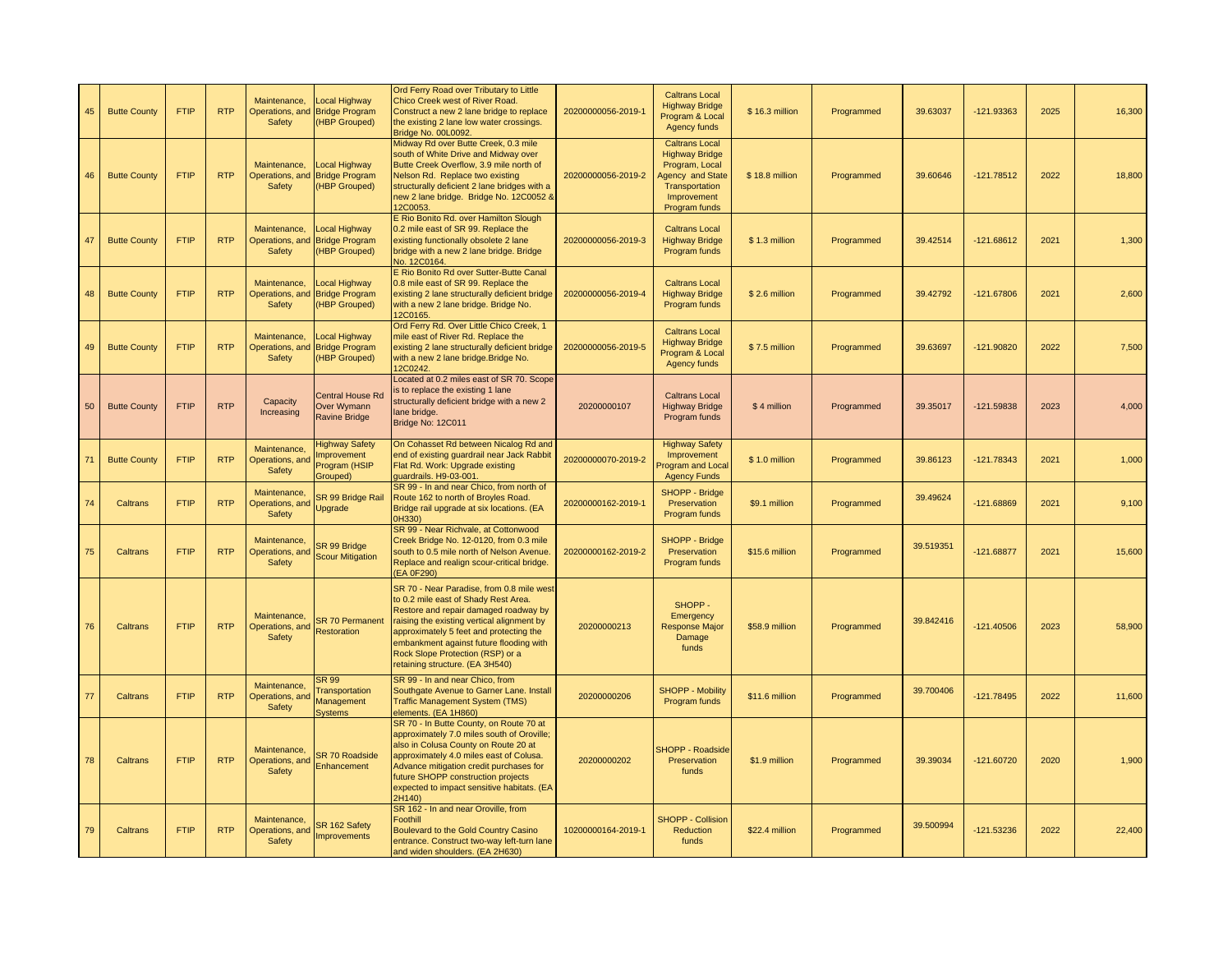| 45 | <b>Butte County</b> | <b>FTIP</b> | <b>RTP</b> | Maintenance,<br>Safety                    | <b>Local Highway</b><br>Operations, and Bridge Program<br>(HBP Grouped)  | Ord Ferry Road over Tributary to Little<br>Chico Creek west of River Road.<br>Construct a new 2 lane bridge to replace<br>the existing 2 lane low water crossings.<br>Bridge No. 00L0092                                                                                                                                              | 20200000056-2019-1 | <b>Caltrans Local</b><br><b>Highway Bridge</b><br>Program & Local<br>Agency funds                                                             | \$16.3 million | Programmed | 39.63037  | -121.93363   | 2025 | 16,300 |
|----|---------------------|-------------|------------|-------------------------------------------|--------------------------------------------------------------------------|---------------------------------------------------------------------------------------------------------------------------------------------------------------------------------------------------------------------------------------------------------------------------------------------------------------------------------------|--------------------|-----------------------------------------------------------------------------------------------------------------------------------------------|----------------|------------|-----------|--------------|------|--------|
| 46 | <b>Butte County</b> | <b>FTIP</b> | <b>RTP</b> | Maintenance,<br>Operations, and<br>Safety | Local Highway<br><b>Bridge Program</b><br>(HBP Grouped)                  | Midway Rd over Butte Creek, 0.3 mile<br>south of White Drive and Midway over<br>Butte Creek Overflow, 3.9 mile north of<br>Nelson Rd. Replace two existing<br>structurally deficient 2 lane bridges with a<br>new 2 lane bridge. Bridge No. 12C0052 &<br>2C0053                                                                       | 20200000056-2019-2 | <b>Caltrans Local</b><br><b>Highway Bridge</b><br>Program, Local<br><b>Agency and State</b><br>Transportation<br>Improvement<br>Program funds | \$18.8 million | Programmed | 39.60646  | $-121.78512$ | 2022 | 18,800 |
| 47 | <b>Butte County</b> | <b>FTIP</b> | <b>RTP</b> | Maintenance,<br>Safety                    | Local Highway<br>Operations, and Bridge Program<br>(HBP Grouped)         | <b>E Rio Bonito Rd. over Hamilton Slough</b><br>0.2 mile east of SR 99. Replace the<br>existing functionally obsolete 2 lane<br>bridge with a new 2 lane bridge. Bridge<br>No. 12C0164                                                                                                                                                | 20200000056-2019-3 | <b>Caltrans Local</b><br><b>Highway Bridge</b><br>Program funds                                                                               | \$1.3 million  | Programmed | 39.42514  | $-121.68612$ | 2021 | 1,300  |
| 48 | <b>Butte County</b> | <b>FTIP</b> | <b>RTP</b> | Maintenance,<br>Operations, and<br>Safety | Local Highway<br><b>Bridge Program</b><br>(HBP Grouped)                  | E Rio Bonito Rd over Sutter-Butte Canal<br>0.8 mile east of SR 99. Replace the<br>existing 2 lane structurally deficient bridge<br>with a new 2 lane bridge. Bridge No.<br>2C0165                                                                                                                                                     | 20200000056-2019-4 | <b>Caltrans Local</b><br><b>Highway Bridge</b><br>Program funds                                                                               | \$2.6 million  | Programmed | 39.42792  | $-121.67806$ | 2021 | 2,600  |
| 49 | <b>Butte County</b> | <b>FTIP</b> | <b>RTP</b> | Maintenance,<br>Safety                    | Local Highway<br>Operations, and Bridge Program<br>(HBP Grouped)         | Ord Ferry Rd. Over Little Chico Creek, 1<br>mile east of River Rd. Replace the<br>existing 2 lane structurally deficient bridge<br>with a new 2 lane bridge. Bridge No.<br>2C0242                                                                                                                                                     | 20200000056-2019-5 | <b>Caltrans Local</b><br><b>Highway Bridge</b><br>Program & Local<br>Agency funds                                                             | \$7.5 million  | Programmed | 39.63697  | -121.90820   | 2022 | 7,500  |
| 50 | <b>Butte County</b> | <b>FTIP</b> | <b>RTP</b> | Capacity<br>Increasing                    | <b>Central House Rd</b><br>Over Wymann<br><b>Ravine Bridge</b>           | Located at 0.2 miles east of SR 70. Scope<br>s to replace the existing 1 lane<br>structurally deficient bridge with a new 2<br>lane bridge.<br>Bridge No: 12C011                                                                                                                                                                      | 20200000107        | <b>Caltrans Local</b><br><b>Highway Bridge</b><br>Program funds                                                                               | \$4 million    | Programmed | 39.35017  | -121.59838   | 2023 | 4,000  |
| 71 | <b>Butte County</b> | <b>FTIP</b> | <b>RTP</b> | Maintenance,<br>Operations, and<br>Safety | <b>Highway Safety</b><br><b>Improvement</b><br>Program (HSIP<br>Grouped) | On Cohasset Rd between Nicalog Rd and<br>end of existing guardrail near Jack Rabbit<br>Flat Rd. Work: Upgrade existing<br>quardrails. H9-03-001                                                                                                                                                                                       | 20200000070-2019-2 | <b>Highway Safety</b><br>Improvement<br>Program and Local<br><b>Agency Funds</b>                                                              | \$1.0 million  | Programmed | 39.86123  | $-121.78343$ | 2021 | 1,000  |
| 74 | Caltrans            | <b>FTIP</b> | <b>RTP</b> | Maintenance,<br>Operations, and<br>Safety | SR 99 Bridge Rail<br>Upgrade                                             | SR 99 - In and near Chico, from north of<br>Route 162 to north of Broyles Road.<br>Bridge rail upgrade at six locations. (EA<br>H330)                                                                                                                                                                                                 | 20200000162-2019-1 | SHOPP - Bridge<br>Preservation<br>Program funds                                                                                               | \$9.1 million  | Programmed | 39.49624  | $-121.68869$ | 2021 | 9,100  |
| 75 | Caltrans            | <b>FTIP</b> | <b>RTP</b> | Maintenance,<br>Operations, and<br>Safety | SR 99 Bridge<br><b>Scour Mitigation</b>                                  | SR 99 - Near Richvale, at Cottonwood<br>Creek Bridge No. 12-0120, from 0.3 mile<br>south to 0.5 mile north of Nelson Avenue.<br>Replace and realign scour-critical bridge.<br>EA 0F290)                                                                                                                                               | 20200000162-2019-2 | <b>SHOPP - Bridge</b><br>Preservation<br>Program funds                                                                                        | \$15.6 million | Programmed | 39.519351 | -121.68877   | 2021 | 15,600 |
| 76 | Caltrans            | <b>FTIP</b> | <b>RTP</b> | Maintenance,<br>Operations, and<br>Safety | <b>SR 70 Permanent</b><br>Restoration                                    | SR 70 - Near Paradise, from 0.8 mile west<br>to 0.2 mile east of Shady Rest Area.<br>Restore and repair damaged roadway by<br>raising the existing vertical alignment by<br>approximately 5 feet and protecting the<br>embankment against future flooding with<br>Rock Slope Protection (RSP) or a<br>retaining structure. (EA 3H540) | 20200000213        | SHOPP-<br>Emergency<br><b>Response Major</b><br>Damage<br>funds                                                                               | \$58.9 million | Programmed | 39.842416 | $-121.40506$ | 2023 | 58,900 |
| 77 | Caltrans            | <b>FTIP</b> | <b>RTP</b> | Maintenance,<br>Operations, and<br>Safety | <b>SR 99</b><br><b>Transportation</b><br>Management<br><b>Systems</b>    | SR 99 - In and near Chico, from<br>Southgate Avenue to Garner Lane. Install<br><b>Traffic Management System (TMS)</b><br>elements. (EA 1H860)                                                                                                                                                                                         | 20200000206        | <b>SHOPP - Mobility</b><br>Program funds                                                                                                      | \$11.6 million | Programmed | 39.700406 | $-121.78495$ | 2022 | 11,600 |
| 78 | Caltrans            | <b>FTIP</b> | <b>RTP</b> | Maintenance,<br>Operations, and<br>Safety | <b>SR 70 Roadside</b><br>Enhancement                                     | SR 70 - In Butte County, on Route 70 at<br>approximately 7.0 miles south of Oroville;<br>also in Colusa County on Route 20 at<br>approximately 4.0 miles east of Colusa.<br>Advance mitigation credit purchases for<br>future SHOPP construction projects<br>expected to impact sensitive habitats. (EA<br>2H140)                     | 20200000202        | <b>SHOPP - Roadside</b><br>Preservation<br>funds                                                                                              | \$1.9 million  | Programmed | 39.39034  | $-121.60720$ | 2020 | 1,900  |
| 79 | Caltrans            | <b>FTIP</b> | <b>RTP</b> | Maintenance,<br>Operations, and<br>Safety | SR 162 Safety<br><b>Improvements</b>                                     | SR 162 - In and near Oroville, from<br>Foothill<br>Boulevard to the Gold Country Casino<br>entrance. Construct two-way left-turn lane<br>and widen shoulders. (EA 2H630)                                                                                                                                                              | 10200000164-2019-1 | <b>SHOPP - Collision</b><br>Reduction<br>funds                                                                                                | \$22.4 million | Programmed | 39.500994 | $-121.53236$ | 2022 | 22,400 |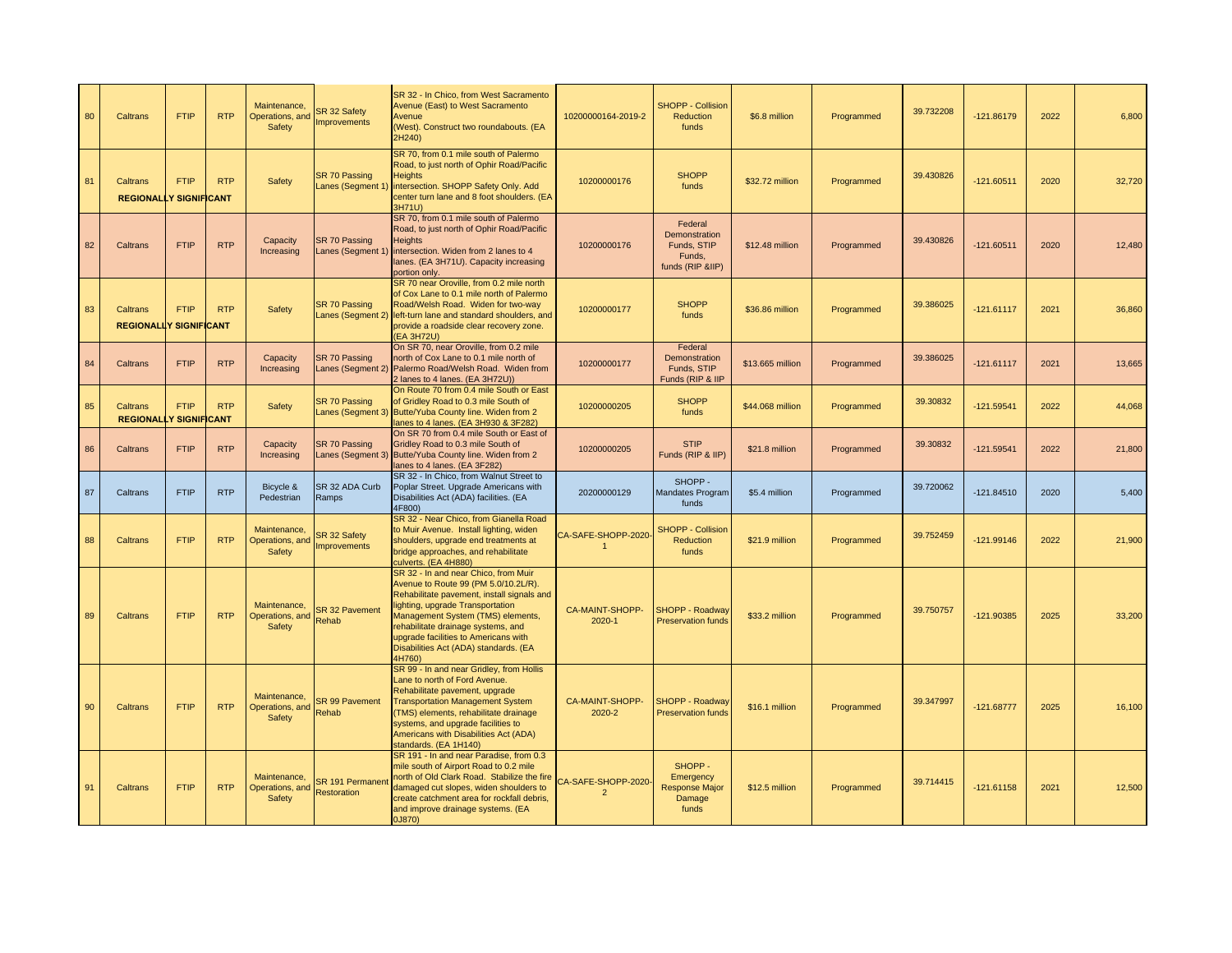| 80 | <b>Caltrans</b>                                  | <b>FTIP</b> | <b>RTP</b> | Maintenance,<br>Operations, and<br><b>Safety</b> | SR 32 Safety<br><b>Improvements</b> | SR 32 - In Chico, from West Sacramento<br>Avenue (East) to West Sacramento<br>Avenue<br>(West). Construct two roundabouts. (EA<br>2H240)                                                                                                                                                                                             | 10200000164-2019-2                  | <b>SHOPP - Collision</b><br><b>Reduction</b><br>funds                 | \$6.8 million    | Programmed | 39.732208 | $-121.86179$ | 2022 | 6,800  |
|----|--------------------------------------------------|-------------|------------|--------------------------------------------------|-------------------------------------|--------------------------------------------------------------------------------------------------------------------------------------------------------------------------------------------------------------------------------------------------------------------------------------------------------------------------------------|-------------------------------------|-----------------------------------------------------------------------|------------------|------------|-----------|--------------|------|--------|
| 81 | <b>Caltrans</b><br><b>REGIONALLY SIGNIFICANT</b> | <b>FTIP</b> | <b>RTP</b> | Safety                                           | SR 70 Passing                       | SR 70, from 0.1 mile south of Palermo<br>Road, to just north of Ophir Road/Pacific<br><b>Heights</b><br>Lanes (Segment 1) intersection. SHOPP Safety Only. Add<br>center turn lane and 8 foot shoulders. (EA<br>3H71U)                                                                                                               | 10200000176                         | <b>SHOPP</b><br>funds                                                 | \$32.72 million  | Programmed | 39.430826 | $-121.60511$ | 2020 | 32,720 |
| 82 | Caltrans                                         | <b>FTIP</b> | <b>RTP</b> | Capacity<br>Increasing                           | SR 70 Passing<br>Lanes (Segment 1)  | SR 70, from 0.1 mile south of Palermo<br>Road, to just north of Ophir Road/Pacific<br><b>Heights</b><br>intersection. Widen from 2 lanes to 4<br>lanes. (EA 3H71U). Capacity increasing<br>portion only.                                                                                                                             | 10200000176                         | Federal<br>Demonstration<br>Funds, STIP<br>Funds,<br>funds (RIP &IIP) | \$12.48 million  | Programmed | 39.430826 | $-121.60511$ | 2020 | 12,480 |
| 83 | <b>Caltrans</b><br><b>REGIONALLY SIGNIFICANT</b> | <b>FTIP</b> | <b>RTP</b> | Safety                                           | <b>SR 70 Passing</b>                | SR 70 near Oroville, from 0.2 mile north<br>of Cox Lane to 0.1 mile north of Palermo<br>Road/Welsh Road. Widen for two-way<br>Lanes (Segment 2) left-turn lane and standard shoulders, and<br>provide a roadside clear recovery zone.<br>(EA 3H72U)                                                                                  | 10200000177                         | <b>SHOPP</b><br>funds                                                 | \$36.86 million  | Programmed | 39.386025 | $-121.61117$ | 2021 | 36,860 |
| 84 | Caltrans                                         | <b>FTIP</b> | <b>RTP</b> | Capacity<br>Increasing                           | SR 70 Passing<br>Lanes (Segment 2)  | On SR 70, near Oroville, from 0.2 mile<br>north of Cox Lane to 0.1 mile north of<br>Palermo Road/Welsh Road. Widen from<br>2 lanes to 4 lanes. (EA 3H72U))                                                                                                                                                                           | 10200000177                         | Federal<br>Demonstration<br>Funds, STIP<br>Funds (RIP & IIP           | \$13.665 million | Programmed | 39.386025 | $-121.61117$ | 2021 | 13,665 |
| 85 | <b>Caltrans</b><br><b>REGIONALLY SIGNIFICANT</b> | <b>FTIP</b> | <b>RTP</b> | Safety                                           | SR 70 Passing                       | On Route 70 from 0.4 mile South or East<br>of Gridley Road to 0.3 mile South of<br>Lanes (Segment 3) Butte/Yuba County line. Widen from 2<br>lanes to 4 lanes. (EA 3H930 & 3F282)                                                                                                                                                    | 10200000205                         | <b>SHOPP</b><br>funds                                                 | \$44.068 million | Programmed | 39.30832  | $-121.59541$ | 2022 | 44,068 |
| 86 | Caltrans                                         | <b>FTIP</b> | <b>RTP</b> | Capacity<br>Increasing                           | SR 70 Passing                       | On SR 70 from 0.4 mile South or East of<br>Gridley Road to 0.3 mile South of<br>Lanes (Segment 3) Butte/Yuba County line. Widen from 2<br>lanes to 4 lanes. (EA 3F282)                                                                                                                                                               | 10200000205                         | <b>STIP</b><br>Funds (RIP & IIP)                                      | \$21.8 million   | Programmed | 39.30832  | $-121.59541$ | 2022 | 21,800 |
| 87 | Caltrans                                         | <b>FTIP</b> | <b>RTP</b> | Bicycle &<br>Pedestrian                          | SR 32 ADA Curb<br>Ramps             | SR 32 - In Chico, from Walnut Street to<br>Poplar Street. Upgrade Americans with<br>Disabilities Act (ADA) facilities. (EA<br>4F800)                                                                                                                                                                                                 | 20200000129                         | SHOPP-<br><b>Mandates Program</b><br>funds                            | \$5.4 million    | Programmed | 39.720062 | $-121.84510$ | 2020 | 5,400  |
| 88 | <b>Caltrans</b>                                  | <b>FTIP</b> | <b>RTP</b> | Maintenance<br>Operations, and<br><b>Safety</b>  | SR 32 Safety<br>Improvements        | SR 32 - Near Chico, from Gianella Road<br>to Muir Avenue. Install lighting, widen<br>shoulders, upgrade end treatments at<br>bridge approaches, and rehabilitate<br>culverts. (EA 4H880)                                                                                                                                             | CA-SAFE-SHOPP-2020                  | <b>SHOPP - Collision</b><br>Reduction<br>funds                        | \$21.9 million   | Programmed | 39.752459 | $-121.99146$ | 2022 | 21,900 |
| 89 | Caltrans                                         | <b>FTIP</b> | <b>RTP</b> | Maintenance,<br>Operations, and<br><b>Safety</b> | <b>SR 32 Pavement</b><br>Rehab      | SR 32 - In and near Chico, from Muir<br>Avenue to Route 99 (PM 5.0/10.2L/R).<br>Rehabilitate pavement, install signals and<br>lighting, upgrade Transportation<br>Management System (TMS) elements,<br>rehabilitate drainage systems, and<br>upgrade facilities to Americans with<br>Disabilities Act (ADA) standards. (EA<br>4H760) | CA-MAINT-SHOPP-<br>2020-1           | SHOPP - Roadway<br><b>Preservation funds</b>                          | \$33.2 million   | Programmed | 39.750757 | $-121.90385$ | 2025 | 33,200 |
| 90 | <b>Caltrans</b>                                  | <b>FTIP</b> | <b>RTP</b> | Maintenance,<br>Operations, and<br><b>Safety</b> | <b>SR 99 Pavement</b><br>Rehab      | SR 99 - In and near Gridley, from Hollis<br>Lane to north of Ford Avenue.<br>Rehabilitate pavement, upgrade<br><b>Transportation Management System</b><br>(TMS) elements, rehabilitate drainage<br>systems, and upgrade facilities to<br>Americans with Disabilities Act (ADA)<br>standards. (EA 1H140)                              | CA-MAINT-SHOPP-<br>2020-2           | SHOPP - Roadway<br><b>Preservation funds</b>                          | \$16.1 million   | Programmed | 39.347997 | $-121.68777$ | 2025 | 16,100 |
| 91 | Caltrans                                         | <b>FTIP</b> | <b>RTP</b> | Maintenance,<br>Operations, and<br>Safety        | SR 191 Permaner<br>Restoration      | SR 191 - In and near Paradise, from 0.3<br>mile south of Airport Road to 0.2 mile<br>north of Old Clark Road. Stabilize the fire<br>damaged cut slopes, widen shoulders to<br>create catchment area for rockfall debris.<br>and improve drainage systems. (EA<br>0J870)                                                              | CA-SAFE-SHOPP-2020<br>$\mathcal{P}$ | SHOPP-<br>Emergency<br><b>Response Major</b><br>Damage<br>funds       | \$12.5 million   | Programmed | 39.714415 | $-121.61158$ | 2021 | 12,500 |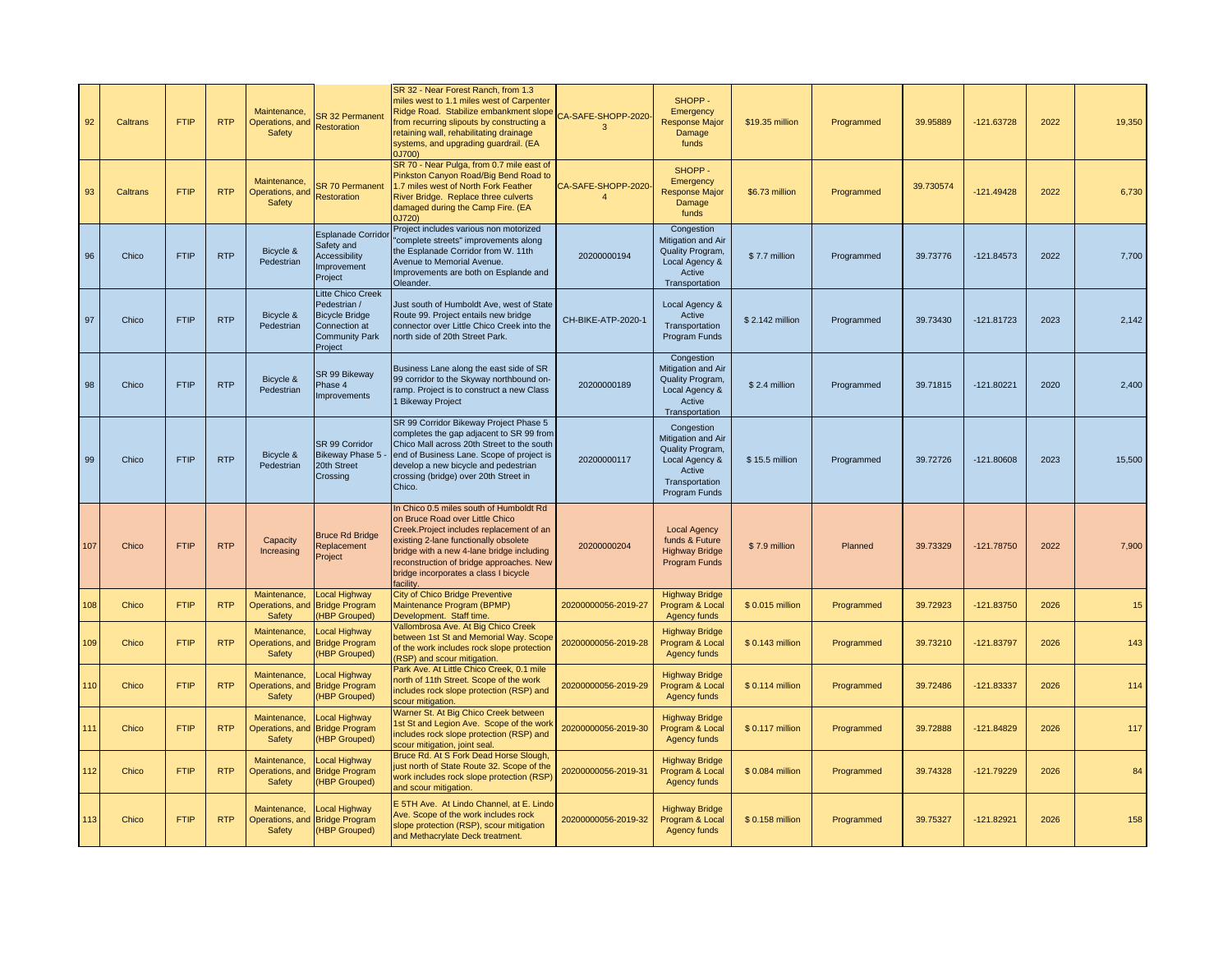| 92  | <b>Caltrans</b> | <b>FTIP</b> | <b>RTP</b> | Maintenance,<br>Operations, and<br>Safety        | <b>SR 32 Permanent</b><br>Restoration                                                                           | SR 32 - Near Forest Ranch, from 1.3<br>miles west to 1.1 miles west of Carpenter<br>Ridge Road. Stabilize embankment slope<br>rom recurring slipouts by constructing a<br>retaining wall, rehabilitating drainage<br>systems, and upgrading guardrail. (EA<br>0J700)                                            | CA-SAFE-SHOPP-2020<br>$\mathbf{R}$   | SHOPP-<br>Emergency<br><b>Response Major</b><br>Damage<br>funds                                                     | \$19.35 million | Programmed | 39.95889  | $-121.63728$ | 2022 | 19,350 |
|-----|-----------------|-------------|------------|--------------------------------------------------|-----------------------------------------------------------------------------------------------------------------|-----------------------------------------------------------------------------------------------------------------------------------------------------------------------------------------------------------------------------------------------------------------------------------------------------------------|--------------------------------------|---------------------------------------------------------------------------------------------------------------------|-----------------|------------|-----------|--------------|------|--------|
| 93  | Caltrans        | <b>FTIP</b> | <b>RTP</b> | Maintenance,<br>Operations, and<br>Safety        | <b>SR 70 Permanent</b><br>Restoration                                                                           | SR 70 - Near Pulga, from 0.7 mile east of<br>Pinkston Canyon Road/Big Bend Road to<br>1.7 miles west of North Fork Feather<br>River Bridge. Replace three culverts<br>damaged during the Camp Fire. (EA<br>0J720)                                                                                               | CA-SAFE-SHOPP-2020<br>$\overline{a}$ | SHOPP-<br>Emergency<br><b>Response Major</b><br>Damage<br>funds                                                     | \$6.73 million  | Programmed | 39.730574 | $-121.49428$ | 2022 | 6,730  |
| 96  | Chico           | <b>FTIP</b> | <b>RTP</b> | Bicycle &<br>Pedestrian                          | <b>Esplanade Corridor</b><br>Safety and<br><b>Accessibility</b><br>Improvement<br>Project                       | Project includes various non motorized<br>complete streets" improvements along<br>the Esplanade Corridor from W. 11th<br>Avenue to Memorial Avenue.<br>Improvements are both on Esplande and<br>Oleander.                                                                                                       | 20200000194                          | Congestion<br>Mitigation and Air<br>Quality Program,<br>Local Agency &<br>Active<br>Transportation                  | \$7.7 million   | Programmed | 39.73776  | $-121.84573$ | 2022 | 7,700  |
| 97  | Chico           | <b>FTIP</b> | <b>RTP</b> | Bicycle &<br>Pedestrian                          | Litte Chico Creek<br>Pedestrian /<br><b>Bicycle Bridge</b><br>Connection at<br><b>Community Park</b><br>Project | Just south of Humboldt Ave, west of State<br>Route 99. Project entails new bridge<br>connector over Little Chico Creek into the<br>north side of 20th Street Park.                                                                                                                                              | CH-BIKE-ATP-2020-1                   | Local Agency &<br>Active<br>Transportation<br>Program Funds                                                         | \$2.142 million | Programmed | 39.73430  | $-121.81723$ | 2023 | 2,142  |
| 98  | Chico           | <b>FTIP</b> | <b>RTP</b> | Bicycle &<br>Pedestrian                          | SR 99 Bikeway<br>Phase 4<br>Improvements                                                                        | Business Lane along the east side of SR<br>99 corridor to the Skyway northbound on-<br>ramp. Project is to construct a new Class<br>1 Bikeway Project                                                                                                                                                           | 20200000189                          | Congestion<br>Mitigation and Air<br>Quality Program,<br>Local Agency &<br>Active<br>Transportation                  | \$2.4 million   | Programmed | 39.71815  | $-121.80221$ | 2020 | 2,400  |
| 99  | Chico           | <b>FTIP</b> | <b>RTP</b> | Bicycle &<br>Pedestrian                          | SR 99 Corridor<br>Bikeway Phase 5 -<br>20th Street<br>Crossing                                                  | SR 99 Corridor Bikeway Project Phase 5<br>completes the gap adjacent to SR 99 from<br>Chico Mall across 20th Street to the south<br>end of Business Lane. Scope of project is<br>develop a new bicycle and pedestrian<br>crossing (bridge) over 20th Street in<br>Chico.                                        | 20200000117                          | Congestion<br>Mitigation and Air<br>Quality Program,<br>Local Agency &<br>Active<br>Transportation<br>Program Funds | \$15.5 million  | Programmed | 39.72726  | $-121.80608$ | 2023 | 15,500 |
| 107 | Chico           | <b>FTIP</b> | <b>RTP</b> | Capacity<br>Increasing                           | <b>Bruce Rd Bridge</b><br>Replacement<br>Project                                                                | In Chico 0.5 miles south of Humboldt Rd<br>on Bruce Road over Little Chico<br>Creek. Project includes replacement of an<br>existing 2-lane functionally obsolete<br>bridge with a new 4-lane bridge including<br>reconstruction of bridge approaches. New<br>bridge incorporates a class I bicycle<br>facility. | 20200000204                          | <b>Local Agency</b><br>funds & Future<br><b>Highway Bridge</b><br>Program Funds                                     | \$7.9 million   | Planned    | 39.73329  | $-121.78750$ | 2022 | 7,900  |
| 108 | Chico           | <b>FTIP</b> | <b>RTP</b> | Maintenance,<br>Operations, and<br>Safety        | Local Highway<br><b>Bridge Program</b><br>(HBP Grouped)                                                         | <b>City of Chico Bridge Preventive</b><br>Maintenance Program (BPMP)<br>Development. Staff time.                                                                                                                                                                                                                | 20200000056-2019-27                  | <b>Highway Bridge</b><br>Program & Local<br>Agency funds                                                            | \$0.015 million | Programmed | 39.72923  | $-121.83750$ | 2026 | 15     |
| 109 | Chico           | <b>FTIP</b> | <b>RTP</b> | Maintenance,<br>Operations, and<br>Safety        | Local Highway<br><b>Bridge Program</b><br>(HBP Grouped)                                                         | <b>Vallombrosa Ave. At Big Chico Creek</b><br>between 1st St and Memorial Way. Scope<br>of the work includes rock slope protection<br>(RSP) and scour mitigation.                                                                                                                                               | 20200000056-2019-28                  | <b>Highway Bridge</b><br>Program & Local<br>Agency funds                                                            | \$0.143 million | Programmed | 39.73210  | $-121.83797$ | 2026 | 143    |
| 110 | Chico           | <b>FTIP</b> | <b>RTP</b> | Maintenance,<br>Operations, and<br>Safety        | Local Highway<br><b>Bridge Program</b><br>(HBP Grouped)                                                         | Park Ave. At Little Chico Creek, 0.1 mile<br>north of 11th Street. Scope of the work<br>includes rock slope protection (RSP) and<br>scour mitigation.                                                                                                                                                           | 20200000056-2019-29                  | <b>Highway Bridge</b><br>Program & Local<br>Agency funds                                                            | \$0.114 million | Programmed | 39.72486  | -121.83337   | 2026 | 114    |
| 111 | Chico           | <b>FTIP</b> | <b>RTP</b> | Maintenance,<br>Operations, and<br>Safety        | Local Highway<br><b>Bridge Program</b><br>(HBP Grouped)                                                         | Warner St. At Big Chico Creek between<br>Ist St and Legion Ave. Scope of the worl<br>ncludes rock slope protection (RSP) and<br>scour mitigation, joint seal.                                                                                                                                                   | 20200000056-2019-30                  | <b>Highway Bridge</b><br>Program & Local<br>Agency funds                                                            | \$0.117 million | Programmed | 39.72888  | $-121.84829$ | 2026 | 117    |
| 112 | Chico           | <b>FTIP</b> | <b>RTP</b> | Maintenance,<br>Operations, and<br><b>Safety</b> | Local Highway<br><b>Bridge Program</b><br>(HBP Grouped)                                                         | Bruce Rd. At S Fork Dead Horse Slough<br>just north of State Route 32. Scope of the<br>work includes rock slope protection (RSP)<br>and scour mitigation.                                                                                                                                                       | 20200000056-2019-31                  | <b>Highway Bridge</b><br>Program & Local<br>Agency funds                                                            | \$0.084 million | Programmed | 39.74328  | $-121.79229$ | 2026 | 84     |
| 113 | Chico           | <b>FTIP</b> | <b>RTP</b> | Maintenance,<br>Operations, and<br>Safety        | Local Highway<br><b>Bridge Program</b><br>(HBP Grouped)                                                         | E 5TH Ave. At Lindo Channel, at E. Lindo<br>Ave. Scope of the work includes rock<br>slope protection (RSP), scour mitigation<br>and Methacrylate Deck treatment.                                                                                                                                                | 20200000056-2019-32                  | <b>Highway Bridge</b><br>Program & Local<br>Agency funds                                                            | \$0.158 million | Programmed | 39.75327  | -121.82921   | 2026 | 158    |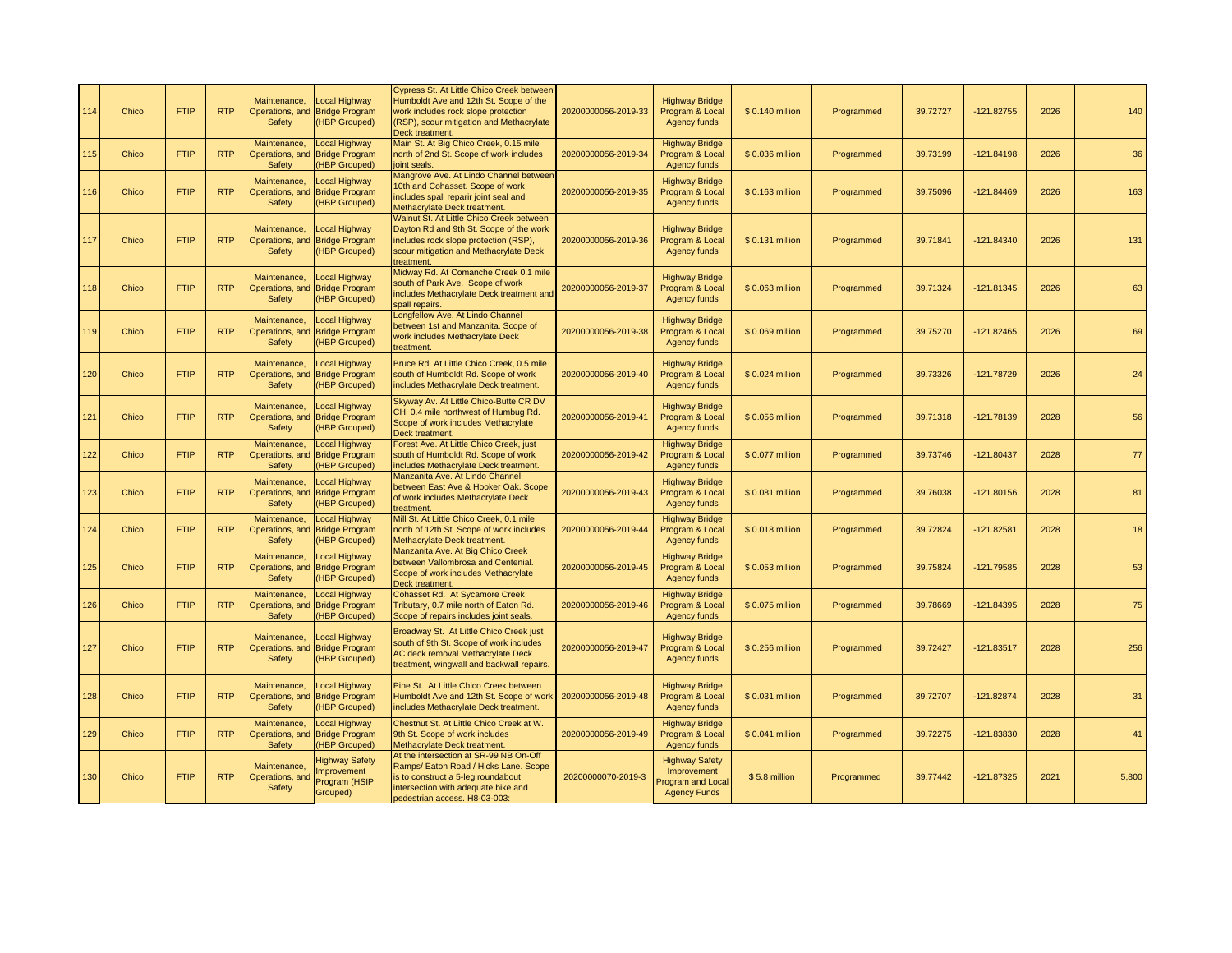| 114 | Chico | <b>FTIP</b> | <b>RTP</b> | Maintenance,<br>Operations, and<br>Safety        | Local Highway<br><b>Bridge Program</b><br>(HBP Grouped)                 | Cypress St. At Little Chico Creek between<br>Humboldt Ave and 12th St. Scope of the<br>work includes rock slope protection<br>(RSP), scour mitigation and Methacrylate<br>Deck treatment.     | 20200000056-2019-33 | <b>Highway Bridge</b><br>Program & Local<br>Agency funds                         | \$0.140 million | Programmed | 39.72727 | $-121.82755$ | 2026 | 140   |
|-----|-------|-------------|------------|--------------------------------------------------|-------------------------------------------------------------------------|-----------------------------------------------------------------------------------------------------------------------------------------------------------------------------------------------|---------------------|----------------------------------------------------------------------------------|-----------------|------------|----------|--------------|------|-------|
| 115 | Chico | <b>FTIP</b> | <b>RTP</b> | Maintenance.<br>Operations, and<br>Safety        | Local Highway<br><b>Bridge Program</b><br><b>HBP Grouped)</b>           | Main St. At Big Chico Creek, 0.15 mile<br>north of 2nd St. Scope of work includes<br>joint seals.                                                                                             | 20200000056-2019-34 | <b>Highway Bridge</b><br>Program & Local<br>Agency funds                         | \$0.036 million | Programmed | 39.73199 | $-121.84198$ | 2026 | 36    |
| 116 | Chico | <b>FTIP</b> | <b>RTP</b> | Maintenance.<br>Operations, and<br>Safety        | Local Highway<br><b>Bridge Program</b><br>(HBP Grouped)                 | Mangrove Ave. At Lindo Channel betweer<br>10th and Cohasset. Scope of work<br>includes spall reparir joint seal and<br>Methacrylate Deck treatment.                                           | 20200000056-2019-35 | <b>Highway Bridge</b><br>Program & Local<br>Agency funds                         | \$0.163 million | Programmed | 39.75096 | $-121.84469$ | 2026 | 163   |
| 117 | Chico | <b>FTIP</b> | <b>RTP</b> | Maintenance.<br>Operations, and<br>Safety        | Local Highway<br><b>Bridge Program</b><br>(HBP Grouped)                 | Walnut St. At Little Chico Creek between<br>Dayton Rd and 9th St. Scope of the work<br>includes rock slope protection (RSP),<br>scour mitigation and Methacrylate Deck<br>reatment.           | 20200000056-2019-36 | <b>Highway Bridge</b><br>Program & Local<br>Agency funds                         | \$0.131 million | Programmed | 39.71841 | $-121.84340$ | 2026 | 131   |
| 118 | Chico | <b>FTIP</b> | <b>RTP</b> | Maintenance,<br>Operations, and<br>Safety        | Local Highway<br><b>Bridge Program</b><br>(HBP Grouped)                 | Midway Rd. At Comanche Creek 0.1 mile<br>south of Park Ave. Scope of work<br>includes Methacrylate Deck treatment and<br>spall repairs.                                                       | 20200000056-2019-37 | <b>Highway Bridge</b><br>Program & Local<br>Agency funds                         | \$0.063 million | Programmed | 39.71324 | $-121.81345$ | 2026 | 63    |
| 119 | Chico | <b>FTIP</b> | <b>RTP</b> | Maintenance.<br>Operations, and<br>Safety        | <b>Local Highway</b><br><b>Bridge Program</b><br>(HBP Grouped)          | Longfellow Ave. At Lindo Channel<br>between 1st and Manzanita. Scope of<br>work includes Methacrylate Deck<br>treatment.                                                                      | 20200000056-2019-38 | <b>Highway Bridge</b><br>Program & Local<br>Agency funds                         | \$0.069 million | Programmed | 39.75270 | $-121.82465$ | 2026 | 69    |
| 120 | Chico | <b>FTIP</b> | <b>RTP</b> | Maintenance,<br>Operations, and<br>Safety        | Local Highway<br><b>Bridge Program</b><br><b>HBP Grouped)</b>           | Bruce Rd. At Little Chico Creek, 0.5 mile<br>south of Humboldt Rd. Scope of work<br>includes Methacrylate Deck treatment.                                                                     | 20200000056-2019-40 | <b>Highway Bridge</b><br>Program & Local<br><b>Agency funds</b>                  | \$0.024 million | Programmed | 39.73326 | $-121.78729$ | 2026 | 24    |
| 121 | Chico | <b>FTIP</b> | <b>RTP</b> | Maintenance,<br>Operations, and<br>Safety        | <b>Local Highway</b><br><b>Bridge Program</b><br>(HBP Grouped)          | Skyway Av. At Little Chico-Butte CR DV<br>CH, 0.4 mile northwest of Humbug Rd.<br>Scope of work includes Methacrylate<br>Deck treatment.                                                      | 20200000056-2019-41 | <b>Highway Bridge</b><br>Program & Local<br>Agency funds                         | \$0.056 million | Programmed | 39.71318 | $-121.78139$ | 2028 | 56    |
| 122 | Chico | <b>FTIP</b> | <b>RTP</b> | Maintenance,<br>Operations, and<br>Safety        | Local Highway<br><b>Bridge Program</b><br><b>HBP Grouped)</b>           | Forest Ave. At Little Chico Creek, just<br>south of Humboldt Rd. Scope of work<br>includes Methacrylate Deck treatment.                                                                       | 20200000056-2019-42 | <b>Highway Bridge</b><br>Program & Local<br><b>Agency funds</b>                  | \$0.077 million | Programmed | 39.73746 | $-121.80437$ | 2028 | 77    |
| 123 | Chico | <b>FTIP</b> | <b>RTP</b> | Maintenance,<br>Operations, and<br>Safety        | Local Highway<br><b>Bridge Program</b><br><b>HBP Grouped)</b>           | Manzanita Ave. At Lindo Channel<br>between East Ave & Hooker Oak. Scope<br>of work includes Methacrylate Deck<br>treatment.                                                                   | 20200000056-2019-43 | <b>Highway Bridge</b><br>Program & Local<br>Agency funds                         | \$0.081 million | Programmed | 39.76038 | $-121.80156$ | 2028 | 81    |
| 124 | Chico | <b>FTIP</b> | <b>RTP</b> | Maintenance,<br>Operations, and<br>Safety        | <b>Local Highway</b><br><b>Bridge Program</b><br><b>HBP Grouped)</b>    | Mill St. At Little Chico Creek, 0.1 mile<br>north of 12th St. Scope of work includes<br>Methacrylate Deck treatment.                                                                          | 20200000056-2019-44 | <b>Highway Bridge</b><br>Program & Local<br><b>Agency funds</b>                  | \$0.018 million | Programmed | 39.72824 | $-121.82581$ | 2028 | 18    |
| 125 | Chico | <b>FTIP</b> | <b>RTP</b> | Maintenance,<br>Safety                           | Local Highway<br>Operations, and Bridge Program<br>(HBP Grouped)        | Manzanita Ave. At Big Chico Creek<br>between Vallombrosa and Centenial.<br>Scope of work includes Methacrylate<br>Deck treatment.                                                             | 20200000056-2019-45 | <b>Highway Bridge</b><br>Program & Local<br>Agency funds                         | \$0.053 million | Programmed | 39.75824 | $-121.79585$ | 2028 | 53    |
| 126 | Chico | <b>FTIP</b> | <b>RTP</b> | Maintenance,<br>Operations, and<br>Safety        | Local Highway<br><b>Bridge Program</b><br><b>HBP Grouped)</b>           | Cohasset Rd. At Sycamore Creek<br>Tributary, 0.7 mile north of Eaton Rd.<br>Scope of repairs includes joint seals.                                                                            | 20200000056-2019-46 | <b>Highway Bridge</b><br>Program & Local<br>Agency funds                         | \$0.075 million | Programmed | 39.78669 | $-121.84395$ | 2028 | 75    |
| 127 | Chico | <b>FTIP</b> | <b>RTP</b> | Maintenance.<br>Safety                           | <b>Local Highway</b><br>Operations, and Bridge Program<br>(HBP Grouped) | Broadway St. At Little Chico Creek just<br>south of 9th St. Scope of work includes<br>AC deck removal Methacrylate Deck<br>treatment, wingwall and backwall repairs.                          | 20200000056-2019-47 | <b>Highway Bridge</b><br>Program & Local<br>Agency funds                         | \$0.256 million | Programmed | 39.72427 | $-121.83517$ | 2028 | 256   |
| 128 | Chico | <b>FTIP</b> | <b>RTP</b> | Maintenance,<br>Operations, and<br>Safety        | Local Highway<br><b>Bridge Program</b><br>(HBP Grouped)                 | Pine St. At Little Chico Creek between<br>Humboldt Ave and 12th St. Scope of work<br>includes Methacrylate Deck treatment.                                                                    | 20200000056-2019-48 | <b>Highway Bridge</b><br>Program & Local<br>Agency funds                         | \$0.031 million | Programmed | 39.72707 | $-121.82874$ | 2028 | 31    |
| 129 | Chico | <b>FTIP</b> | <b>RTP</b> | Maintenance,<br>Operations, and<br><b>Safety</b> | Local Highway<br><b>Bridge Program</b><br><b>HBP Grouped)</b>           | Chestnut St. At Little Chico Creek at W.<br>9th St. Scope of work includes<br>Methacrylate Deck treatment.                                                                                    | 20200000056-2019-49 | <b>Highway Bridge</b><br>Program & Local<br>Agency funds                         | \$0.041 million | Programmed | 39.72275 | -121.83830   | 2028 | 41    |
| 130 | Chico | <b>FTIP</b> | <b>RTP</b> | Maintenance.<br>Operations, and<br>Safety        | <b>Highway Safety</b><br>mprovement<br>Program (HSIP<br>Grouped)        | At the intersection at SR-99 NB On-Off<br>Ramps/ Eaton Road / Hicks Lane. Scope<br>is to construct a 5-leg roundabout<br>intersection with adequate bike and<br>pedestrian access. H8-03-003: | 20200000070-2019-3  | <b>Highway Safety</b><br>Improvement<br>Program and Local<br><b>Agency Funds</b> | \$5.8 million   | Programmed | 39.77442 | $-121.87325$ | 2021 | 5,800 |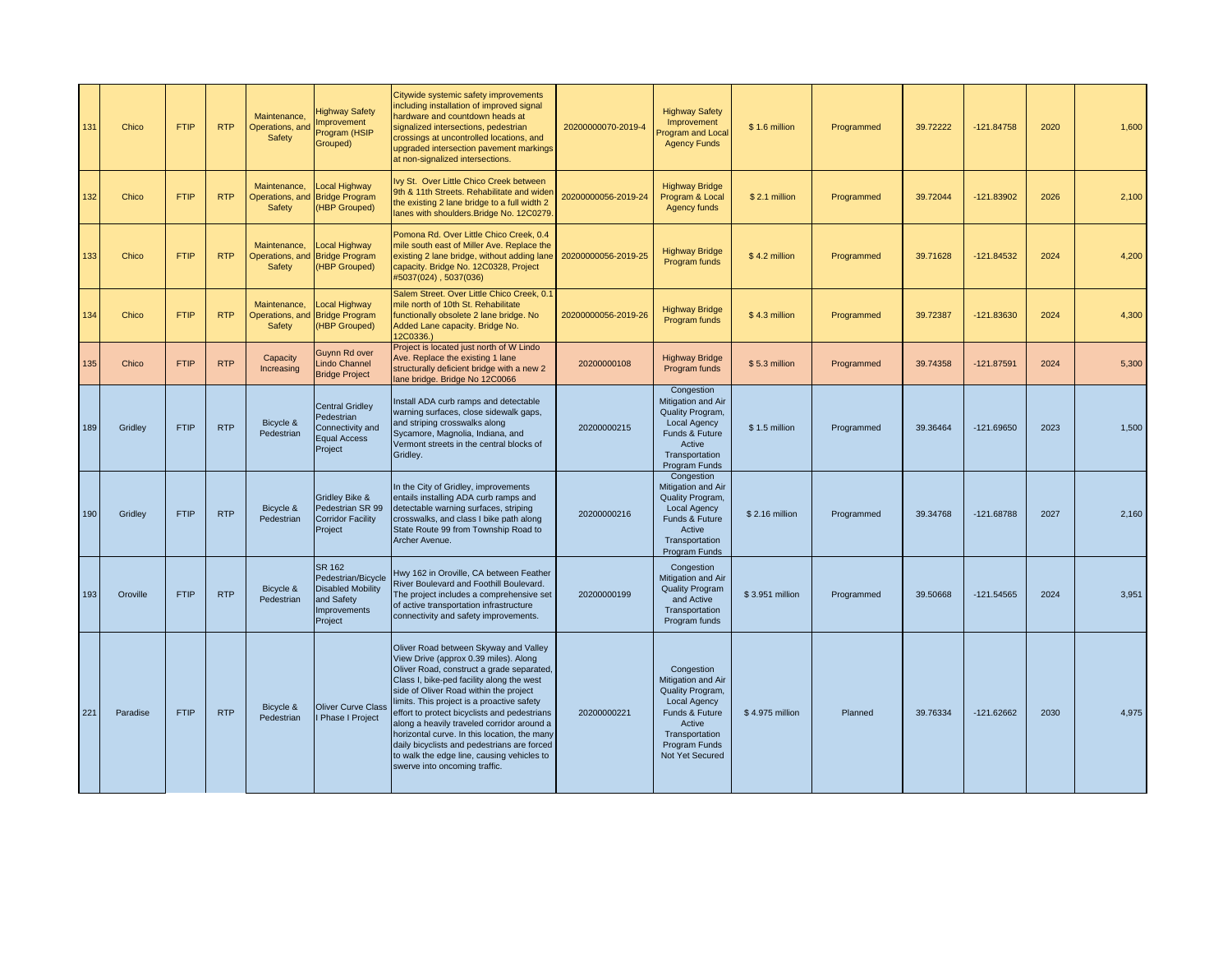| 131 | Chico    | <b>FTIP</b> | <b>RTP</b> | Maintenance.<br>Operations, and<br>Safety | <b>Highway Safety</b><br><b>Improvement</b><br>Program (HSIP<br>Grouped)                                        | Citywide systemic safety improvements<br>including installation of improved signal<br>hardware and countdown heads at<br>signalized intersections, pedestrian<br>crossings at uncontrolled locations, and<br>upgraded intersection pavement markings<br>at non-signalized intersections.                                                                                                                                                                                                                                                     | 20200000070-2019-4  | <b>Highway Safety</b><br>Improvement<br>Program and Local<br><b>Agency Funds</b>                                                                              | \$1.6 million   | Programmed | 39.72222 | $-121.84758$ | 2020 | 1,600 |
|-----|----------|-------------|------------|-------------------------------------------|-----------------------------------------------------------------------------------------------------------------|----------------------------------------------------------------------------------------------------------------------------------------------------------------------------------------------------------------------------------------------------------------------------------------------------------------------------------------------------------------------------------------------------------------------------------------------------------------------------------------------------------------------------------------------|---------------------|---------------------------------------------------------------------------------------------------------------------------------------------------------------|-----------------|------------|----------|--------------|------|-------|
| 132 | Chico    | <b>FTIP</b> | <b>RTP</b> | Maintenance,<br>Operations, and<br>Safety | Local Highway<br><b>Bridge Program</b><br>(HBP Grouped)                                                         | Ivy St. Over Little Chico Creek between<br>9th & 11th Streets. Rehabilitate and wider<br>the existing 2 lane bridge to a full width 2<br>lanes with shoulders. Bridge No. 12C0279                                                                                                                                                                                                                                                                                                                                                            | 20200000056-2019-24 | <b>Highway Bridge</b><br>Program & Local<br>Agency funds                                                                                                      | \$2.1 million   | Programmed | 39.72044 | $-121.83902$ | 2026 | 2,100 |
| 133 | Chico    | <b>FTIP</b> | <b>RTP</b> | Maintenance,<br>Operations, and<br>Safety | Local Highway<br><b>Bridge Program</b><br>(HBP Grouped)                                                         | Pomona Rd. Over Little Chico Creek, 0.4<br>mile south east of Miller Ave. Replace the<br>existing 2 lane bridge, without adding lane<br>capacity. Bridge No. 12C0328, Project<br>#5037(024), 5037(036)                                                                                                                                                                                                                                                                                                                                       | 20200000056-2019-25 | <b>Highway Bridge</b><br>Program funds                                                                                                                        | \$4.2 million   | Programmed | 39.71628 | $-121.84532$ | 2024 | 4,200 |
| 134 | Chico    | <b>FTIP</b> | <b>RTP</b> | Maintenance,<br>Operations, and<br>Safety | Local Highway<br><b>Bridge Program</b><br>(HBP Grouped)                                                         | Salem Street, Over Little Chico Creek, 0.1<br>mile north of 10th St. Rehabilitate<br>functionally obsolete 2 lane bridge. No<br>Added Lane capacity. Bridge No.<br>12C0336.)                                                                                                                                                                                                                                                                                                                                                                 | 20200000056-2019-26 | <b>Highway Bridge</b><br>Program funds                                                                                                                        | \$4.3 million   | Programmed | 39.72387 | $-121.83630$ | 2024 | 4,300 |
| 135 | Chico    | <b>FTIP</b> | <b>RTP</b> | Capacity<br>Increasing                    | Guynn Rd over<br><b>Lindo Channel</b><br><b>Bridge Project</b>                                                  | Project is located just north of W Lindo<br>Ave. Replace the existing 1 lane<br>structurally deficient bridge with a new 2<br>lane bridge. Bridge No 12C0066                                                                                                                                                                                                                                                                                                                                                                                 | 20200000108         | <b>Highway Bridge</b><br>Program funds                                                                                                                        | \$5.3 million   | Programmed | 39.74358 | $-121.87591$ | 2024 | 5,300 |
| 189 | Gridley  | <b>FTIP</b> | <b>RTP</b> | Bicycle &<br>Pedestrian                   | <b>Central Gridley</b><br>Pedestrian<br>Connectivity and<br><b>Equal Access</b><br>Project                      | Install ADA curb ramps and detectable<br>warning surfaces, close sidewalk gaps,<br>and striping crosswalks along<br>Sycamore, Magnolia, Indiana, and<br>Vermont streets in the central blocks of<br>Gridley.                                                                                                                                                                                                                                                                                                                                 | 20200000215         | Congestion<br>Mitigation and Air<br>Quality Program,<br><b>Local Agency</b><br>Funds & Future<br>Active<br>Transportation<br>Program Funds                    | \$1.5 million   | Programmed | 39.36464 | $-121.69650$ | 2023 | 1,500 |
| 190 | Gridley  | <b>FTIP</b> | <b>RTP</b> | Bicycle &<br>Pedestrian                   | Gridley Bike &<br>Pedestrian SR 99<br><b>Corridor Facility</b><br>Project                                       | In the City of Gridley, improvements<br>entails installing ADA curb ramps and<br>detectable warning surfaces, striping<br>crosswalks, and class I bike path along<br>State Route 99 from Township Road to<br>Archer Avenue.                                                                                                                                                                                                                                                                                                                  | 20200000216         | Congestion<br>Mitigation and Air<br>Quality Program,<br><b>Local Agency</b><br>Funds & Future<br>Active<br>Transportation<br>Program Funds                    | \$2.16 million  | Programmed | 39.34768 | $-121.68788$ | 2027 | 2.160 |
| 193 | Oroville | <b>FTIP</b> | <b>RTP</b> | Bicycle &<br>Pedestrian                   | <b>SR 162</b><br>Pedestrian/Bicycle<br><b>Disabled Mobility</b><br>and Safety<br><b>Improvements</b><br>Project | Hwy 162 in Oroville, CA between Feather<br>River Boulevard and Foothill Boulevard.<br>The project includes a comprehensive set<br>of active transportation infrastructure<br>connectivity and safety improvements.                                                                                                                                                                                                                                                                                                                           | 20200000199         | Congestion<br>Mitigation and Air<br><b>Quality Program</b><br>and Active<br>Transportation<br>Program funds                                                   | \$3.951 million | Programmed | 39.50668 | $-121.54565$ | 2024 | 3,951 |
| 221 | Paradise | <b>FTIP</b> | <b>RTP</b> | Bicycle &<br>Pedestrian                   | <b>Oliver Curve Class</b><br>Phase I Project                                                                    | Oliver Road between Skyway and Valley<br>View Drive (approx 0.39 miles). Along<br>Oliver Road, construct a grade separated,<br>Class I, bike-ped facility along the west<br>side of Oliver Road within the project<br>limits. This project is a proactive safety<br>effort to protect bicyclists and pedestrians<br>along a heavily traveled corridor around a<br>horizontal curve. In this location, the many<br>daily bicyclists and pedestrians are forced<br>to walk the edge line, causing vehicles to<br>swerve into oncoming traffic. | 20200000221         | Congestion<br>Mitigation and Air<br>Quality Program,<br><b>Local Agency</b><br>Funds & Future<br>Active<br>Transportation<br>Program Funds<br>Not Yet Secured | \$4.975 million | Planned    | 39.76334 | $-121.62662$ | 2030 | 4,975 |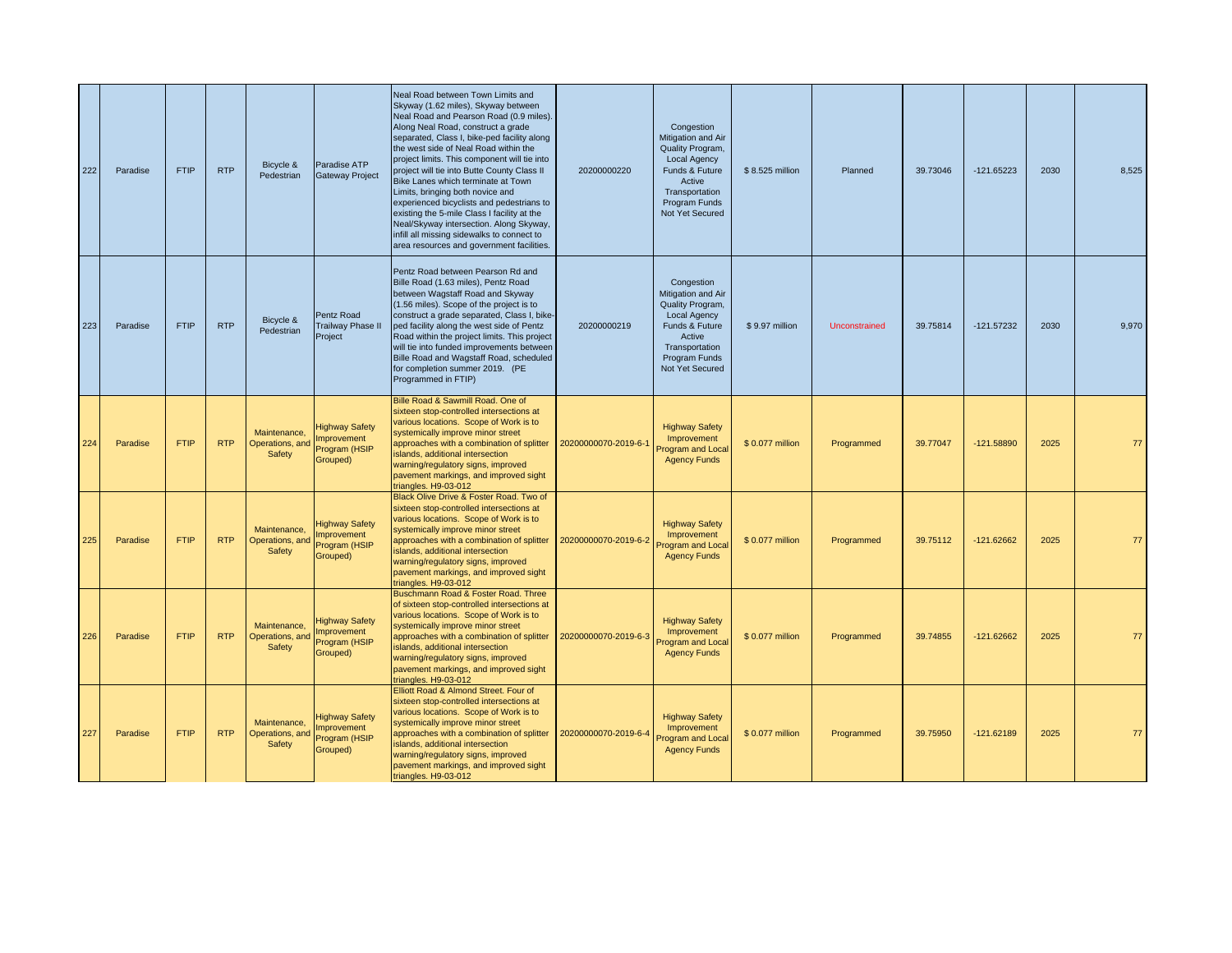| 222 | Paradise | <b>FTIP</b> | <b>RTP</b> | Bicycle &<br>Pedestrian                   | Paradise ATP<br><b>Gateway Project</b>                           | Neal Road between Town Limits and<br>Skyway (1.62 miles), Skyway between<br>Neal Road and Pearson Road (0.9 miles).<br>Along Neal Road, construct a grade<br>separated, Class I, bike-ped facility along<br>the west side of Neal Road within the<br>project limits. This component will tie into<br>project will tie into Butte County Class II<br>Bike Lanes which terminate at Town<br>Limits, bringing both novice and<br>experienced bicyclists and pedestrians to<br>existing the 5-mile Class I facility at the<br>Neal/Skyway intersection. Along Skyway,<br>infill all missing sidewalks to connect to<br>area resources and government facilities. | 20200000220          | Congestion<br>Mitigation and Air<br>Quality Program,<br><b>Local Agency</b><br>Funds & Future<br>Active<br>Transportation<br>Program Funds<br>Not Yet Secured | \$8.525 million | Planned       | 39.73046 | $-121.65223$ | 2030 | 8,525 |
|-----|----------|-------------|------------|-------------------------------------------|------------------------------------------------------------------|--------------------------------------------------------------------------------------------------------------------------------------------------------------------------------------------------------------------------------------------------------------------------------------------------------------------------------------------------------------------------------------------------------------------------------------------------------------------------------------------------------------------------------------------------------------------------------------------------------------------------------------------------------------|----------------------|---------------------------------------------------------------------------------------------------------------------------------------------------------------|-----------------|---------------|----------|--------------|------|-------|
| 223 | Paradise | <b>FTIP</b> | <b>RTP</b> | Bicycle &<br>Pedestrian                   | Pentz Road<br><b>Trailway Phase II</b><br>Project                | Pentz Road between Pearson Rd and<br>Bille Road (1.63 miles), Pentz Road<br>between Wagstaff Road and Skyway<br>(1.56 miles). Scope of the project is to<br>construct a grade separated, Class I, bike-<br>ped facility along the west side of Pentz<br>Road within the project limits. This project<br>will tie into funded improvements between<br>Bille Road and Wagstaff Road, scheduled<br>for completion summer 2019. (PE<br>Programmed in FTIP)                                                                                                                                                                                                       | 20200000219          | Congestion<br>Mitigation and Air<br>Quality Program,<br><b>Local Agency</b><br>Funds & Future<br>Active<br>Transportation<br>Program Funds<br>Not Yet Secured | \$9.97 million  | Unconstrained | 39.75814 | $-121.57232$ | 2030 | 9,970 |
| 224 | Paradise | <b>FTIP</b> | <b>RTP</b> | Maintenance,<br>Operations, and<br>Safety | <b>Highway Safety</b><br>mprovement<br>Program (HSIP<br>Grouped) | Bille Road & Sawmill Road. One of<br>sixteen stop-controlled intersections at<br>various locations. Scope of Work is to<br>systemically improve minor street<br>approaches with a combination of splitter<br>islands, additional intersection<br>warning/regulatory signs, improved<br>pavement markings, and improved sight<br>triangles. H9-03-012                                                                                                                                                                                                                                                                                                         | 20200000070-2019-6-1 | <b>Highway Safety</b><br>Improvement<br>Program and Local<br><b>Agency Funds</b>                                                                              | \$0.077 million | Programmed    | 39.77047 | $-121.58890$ | 2025 |       |
| 225 | Paradise | <b>FTIP</b> | <b>RTP</b> | Maintenance,<br>Operations, and<br>Safety | <b>Highway Safety</b><br>mprovement<br>Program (HSIP<br>Grouped) | Black Olive Drive & Foster Road. Two of<br>sixteen stop-controlled intersections at<br>various locations. Scope of Work is to<br>systemically improve minor street<br>approaches with a combination of splitter<br>islands, additional intersection<br>warning/regulatory signs, improved<br>pavement markings, and improved sight<br>triangles. H9-03-012                                                                                                                                                                                                                                                                                                   | 20200000070-2019-6-2 | <b>Highway Safety</b><br>Improvement<br>Program and Local<br><b>Agency Funds</b>                                                                              | \$0.077 million | Programmed    | 39.75112 | $-121.62662$ | 2025 | 77    |
| 226 | Paradise | <b>FTIP</b> | <b>RTP</b> | Maintenance,<br>Operations, and<br>Safety | <b>Highway Safety</b><br>mprovement<br>Program (HSIP<br>Grouped) | Buschmann Road & Foster Road. Three<br>of sixteen stop-controlled intersections at<br>various locations. Scope of Work is to<br>systemically improve minor street<br>approaches with a combination of splitter<br>islands, additional intersection<br>warning/regulatory signs, improved<br>pavement markings, and improved sight<br>triangles. H9-03-012                                                                                                                                                                                                                                                                                                    | 20200000070-2019-6-3 | <b>Highway Safety</b><br>Improvement<br>Program and Local<br><b>Agency Funds</b>                                                                              | \$0.077 million | Programmed    | 39.74855 | $-121.62662$ | 2025 | 77    |
| 227 | Paradise | <b>FTIP</b> | <b>RTP</b> | Maintenance,<br>Operations, and<br>Safety | <b>Highway Safety</b><br>mprovement<br>Program (HSIP<br>Grouped) | Elliott Road & Almond Street. Four of<br>sixteen stop-controlled intersections at<br>various locations. Scope of Work is to<br>systemically improve minor street<br>approaches with a combination of splitter<br>islands, additional intersection<br>warning/regulatory signs, improved<br>pavement markings, and improved sight<br>triangles. H9-03-012                                                                                                                                                                                                                                                                                                     | 20200000070-2019-6-4 | <b>Highway Safety</b><br>Improvement<br>Program and Local<br><b>Agency Funds</b>                                                                              | \$0.077 million | Programmed    | 39.75950 | $-121.62189$ | 2025 | 77    |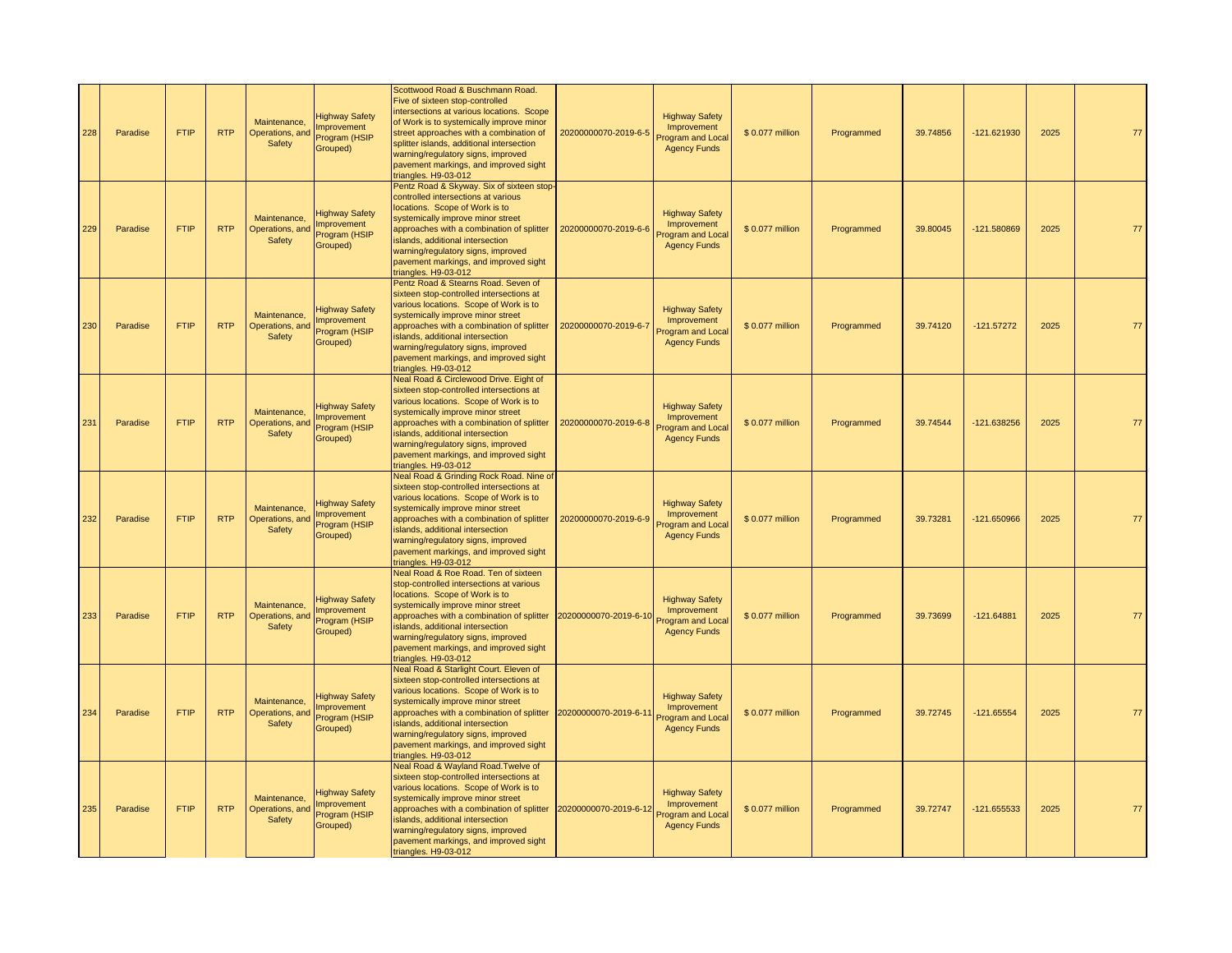| 228 | Paradise | <b>FTIP</b> | <b>RTP</b> | Maintenance,<br>Operations, and<br>Safety | <b>Highway Safety</b><br><b>Improvement</b><br>Program (HSIP<br>Grouped) | Scottwood Road & Buschmann Road.<br>Five of sixteen stop-controlled<br>ntersections at various locations. Scope<br>of Work is to systemically improve minor<br>street approaches with a combination of<br>splitter islands, additional intersection<br>warning/regulatory signs, improved<br>pavement markings, and improved sight<br>triangles. H9-03-012 | 20200000070-2019-6-5  | <b>Highway Safety</b><br>Improvement<br>rogram and Local<br><b>Agency Funds</b>  | \$0.077 million | Programmed | 39.74856 | -121.621930   | 2025 | 77 |
|-----|----------|-------------|------------|-------------------------------------------|--------------------------------------------------------------------------|------------------------------------------------------------------------------------------------------------------------------------------------------------------------------------------------------------------------------------------------------------------------------------------------------------------------------------------------------------|-----------------------|----------------------------------------------------------------------------------|-----------------|------------|----------|---------------|------|----|
| 229 | Paradise | <b>FTIP</b> | <b>RTP</b> | Maintenance,<br>Operations, and<br>Safety | lighway Safety<br>mprovement<br>Program (HSIP<br>Grouped)                | Pentz Road & Skyway. Six of sixteen stop<br>controlled intersections at various<br>locations. Scope of Work is to<br>systemically improve minor street<br>approaches with a combination of splitter<br>islands, additional intersection<br>warning/regulatory signs, improved<br>pavement markings, and improved sight<br>triangles. H9-03-012             | 20200000070-2019-6-6  | <b>Highway Safety</b><br>Improvement<br>rogram and Local<br><b>Agency Funds</b>  | \$0.077 million | Programmed | 39.80045 | -121.580869   | 2025 | 77 |
| 230 | Paradise | <b>FTIP</b> | <b>RTP</b> | Maintenance,<br>Operations, and<br>Safety | <b>Highway Safety</b><br><b>Improvement</b><br>Program (HSIP<br>Grouped) | Pentz Road & Stearns Road. Seven of<br>sixteen stop-controlled intersections at<br>various locations. Scope of Work is to<br>systemically improve minor street<br>approaches with a combination of splitter<br>islands, additional intersection<br>warning/regulatory signs, improved<br>pavement markings, and improved sight<br>triangles. H9-03-012     | 20200000070-2019-6-7  | <b>Highway Safety</b><br>Improvement<br>Program and Local<br><b>Agency Funds</b> | \$0.077 million | Programmed | 39.74120 | $-121.57272$  | 2025 | 77 |
| 231 | Paradise | <b>FTIP</b> | <b>RTP</b> | Maintenance,<br>Operations, and<br>Safety | <b>Highway Safety</b><br>mprovement<br>Program (HSIP<br>Grouped)         | Neal Road & Circlewood Drive. Eight of<br>sixteen stop-controlled intersections at<br>various locations. Scope of Work is to<br>systemically improve minor street<br>approaches with a combination of splitter<br>islands, additional intersection<br>warning/regulatory signs, improved<br>pavement markings, and improved sight<br>triangles. H9-03-012  | 20200000070-2019-6-8  | <b>Highway Safety</b><br>Improvement<br>Program and Local<br><b>Agency Funds</b> | \$0.077 million | Programmed | 39.74544 | -121.638256   | 2025 | 77 |
| 232 | Paradise | <b>FTIP</b> | <b>RTP</b> | Maintenance.<br>Operations, and<br>Safety | <b>Highway Safety</b><br>mprovement<br>Program (HSIP<br>Grouped)         | Neal Road & Grinding Rock Road. Nine of<br>sixteen stop-controlled intersections at<br>various locations. Scope of Work is to<br>systemically improve minor street<br>approaches with a combination of splitter<br>islands, additional intersection<br>warning/regulatory signs, improved<br>pavement markings, and improved sight<br>triangles. H9-03-012 | 20200000070-2019-6-9  | <b>Highway Safety</b><br>Improvement<br>rogram and Local<br><b>Agency Funds</b>  | \$0.077 million | Programmed | 39.73281 | $-121.650966$ | 2025 | 77 |
| 233 | Paradise | <b>FTIP</b> | <b>RTP</b> | Maintenance,<br>Operations, and<br>Safety | <b>Highway Safety</b><br><b>Improvement</b><br>Program (HSIP<br>Grouped) | Neal Road & Roe Road. Ten of sixteen<br>stop-controlled intersections at various<br>locations. Scope of Work is to<br>systemically improve minor street<br>approaches with a combination of splitter<br>islands, additional intersection<br>warning/regulatory signs, improved<br>pavement markings, and improved sight<br>triangles. H9-03-012            | 20200000070-2019-6-10 | <b>Highway Safety</b><br>Improvement<br>Program and Local<br><b>Agency Funds</b> | \$0.077 million | Programmed | 39.73699 | $-121.64881$  | 2025 | 77 |
| 234 | Paradise | <b>FTIP</b> | <b>RTP</b> | Maintenance,<br>Operations, and<br>Safety | <b>Highway Safety</b><br><b>Improvement</b><br>Program (HSIP<br>Grouped) | Neal Road & Starlight Court. Eleven of<br>sixteen stop-controlled intersections at<br>various locations. Scope of Work is to<br>systemically improve minor street<br>approaches with a combination of splitter<br>slands, additional intersection<br>warning/regulatory signs, improved<br>pavement markings, and improved sight<br>triangles. H9-03-012   | 20200000070-2019-6-11 | <b>Highway Safety</b><br>Improvement<br>rogram and Local<br><b>Agency Funds</b>  | \$0.077 million | Programmed | 39.72745 | $-121.65554$  | 2025 |    |
| 235 | Paradise | <b>FTIP</b> | <b>RTP</b> | Maintenance,<br>Operations, and<br>Safety | <b>Highway Safety</b><br>mprovement<br>Program (HSIP<br>Grouped)         | Neal Road & Wayland Road. Twelve of<br>sixteen stop-controlled intersections at<br>various locations. Scope of Work is to<br>systemically improve minor street<br>approaches with a combination of splitter<br>islands, additional intersection<br>warning/regulatory signs, improved<br>pavement markings, and improved sight<br>triangles. H9-03-012     | 20200000070-2019-6-12 | <b>Highway Safety</b><br>Improvement<br>Program and Local<br><b>Agency Funds</b> | \$0.077 million | Programmed | 39.72747 | -121.655533   | 2025 | 77 |